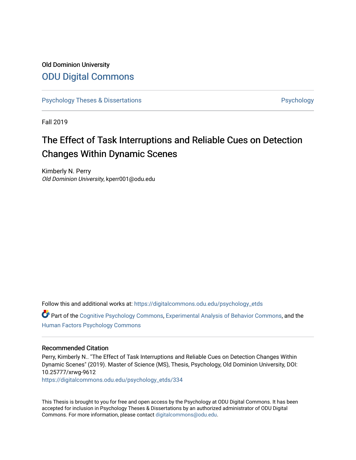## Old Dominion University [ODU Digital Commons](https://digitalcommons.odu.edu/)

[Psychology Theses & Dissertations](https://digitalcommons.odu.edu/psychology_etds) **Psychology** Psychology

Fall 2019

# The Effect of Task Interruptions and Reliable Cues on Detection Changes Within Dynamic Scenes

Kimberly N. Perry Old Dominion University, kperr001@odu.edu

Follow this and additional works at: [https://digitalcommons.odu.edu/psychology\\_etds](https://digitalcommons.odu.edu/psychology_etds?utm_source=digitalcommons.odu.edu%2Fpsychology_etds%2F334&utm_medium=PDF&utm_campaign=PDFCoverPages)

Part of the [Cognitive Psychology Commons,](http://network.bepress.com/hgg/discipline/408?utm_source=digitalcommons.odu.edu%2Fpsychology_etds%2F334&utm_medium=PDF&utm_campaign=PDFCoverPages) [Experimental Analysis of Behavior Commons,](http://network.bepress.com/hgg/discipline/1236?utm_source=digitalcommons.odu.edu%2Fpsychology_etds%2F334&utm_medium=PDF&utm_campaign=PDFCoverPages) and the [Human Factors Psychology Commons](http://network.bepress.com/hgg/discipline/1412?utm_source=digitalcommons.odu.edu%2Fpsychology_etds%2F334&utm_medium=PDF&utm_campaign=PDFCoverPages)

#### Recommended Citation

Perry, Kimberly N.. "The Effect of Task Interruptions and Reliable Cues on Detection Changes Within Dynamic Scenes" (2019). Master of Science (MS), Thesis, Psychology, Old Dominion University, DOI: 10.25777/xrwg-9612

[https://digitalcommons.odu.edu/psychology\\_etds/334](https://digitalcommons.odu.edu/psychology_etds/334?utm_source=digitalcommons.odu.edu%2Fpsychology_etds%2F334&utm_medium=PDF&utm_campaign=PDFCoverPages)

This Thesis is brought to you for free and open access by the Psychology at ODU Digital Commons. It has been accepted for inclusion in Psychology Theses & Dissertations by an authorized administrator of ODU Digital Commons. For more information, please contact [digitalcommons@odu.edu](mailto:digitalcommons@odu.edu).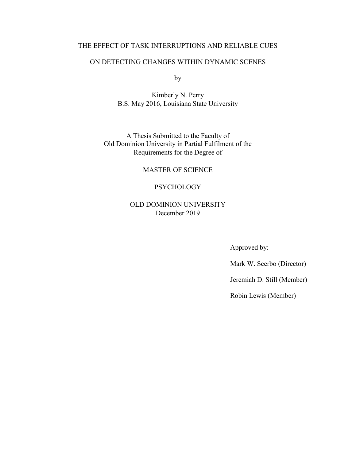### THE EFFECT OF TASK INTERRUPTIONS AND RELIABLE CUES

#### ON DETECTING CHANGES WITHIN DYNAMIC SCENES

by

Kimberly N. Perry B.S. May 2016, Louisiana State University

A Thesis Submitted to the Faculty of Old Dominion University in Partial Fulfilment of the Requirements for the Degree of

MASTER OF SCIENCE

### PSYCHOLOGY

## OLD DOMINION UNIVERSITY December 2019

Approved by:

Mark W. Scerbo (Director)

Jeremiah D. Still (Member)

Robin Lewis (Member)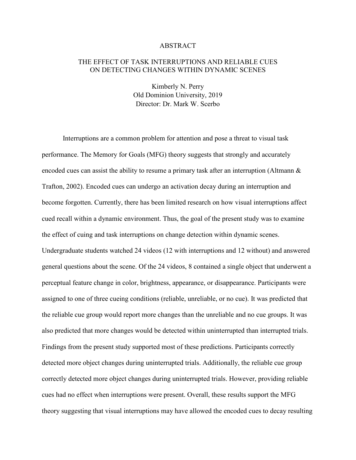#### ABSTRACT

#### THE EFFECT OF TASK INTERRUPTIONS AND RELIABLE CUES ON DETECTING CHANGES WITHIN DYNAMIC SCENES

Kimberly N. Perry Old Dominion University, 2019 Director: Dr. Mark W. Scerbo

Interruptions are a common problem for attention and pose a threat to visual task performance. The Memory for Goals (MFG) theory suggests that strongly and accurately encoded cues can assist the ability to resume a primary task after an interruption (Altmann & Trafton, 2002). Encoded cues can undergo an activation decay during an interruption and become forgotten. Currently, there has been limited research on how visual interruptions affect cued recall within a dynamic environment. Thus, the goal of the present study was to examine the effect of cuing and task interruptions on change detection within dynamic scenes. Undergraduate students watched 24 videos (12 with interruptions and 12 without) and answered general questions about the scene. Of the 24 videos, 8 contained a single object that underwent a perceptual feature change in color, brightness, appearance, or disappearance. Participants were assigned to one of three cueing conditions (reliable, unreliable, or no cue). It was predicted that the reliable cue group would report more changes than the unreliable and no cue groups. It was also predicted that more changes would be detected within uninterrupted than interrupted trials. Findings from the present study supported most of these predictions. Participants correctly detected more object changes during uninterrupted trials. Additionally, the reliable cue group correctly detected more object changes during uninterrupted trials. However, providing reliable cues had no effect when interruptions were present. Overall, these results support the MFG theory suggesting that visual interruptions may have allowed the encoded cues to decay resulting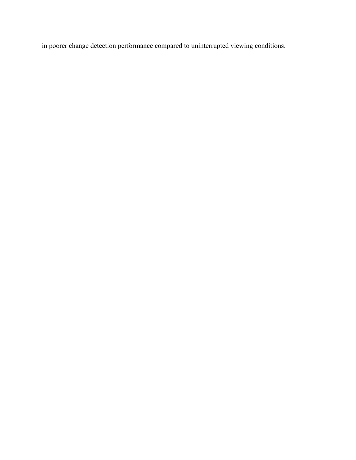in poorer change detection performance compared to uninterrupted viewing conditions.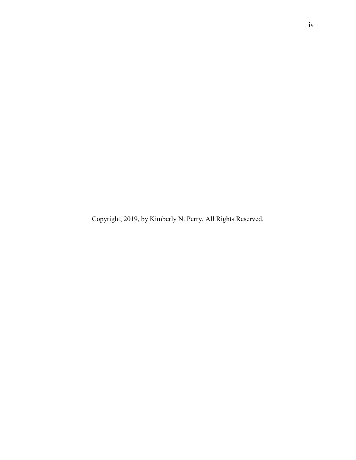Copyright, 2019, by Kimberly N. Perry, All Rights Reserved.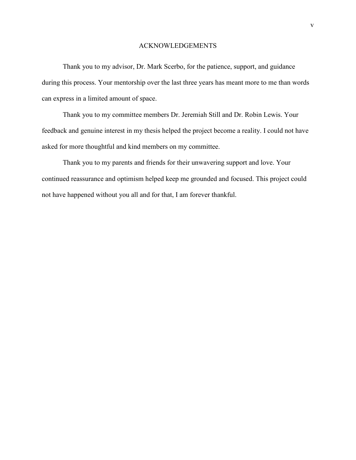#### ACKNOWLEDGEMENTS

Thank you to my advisor, Dr. Mark Scerbo, for the patience, support, and guidance during this process. Your mentorship over the last three years has meant more to me than words can express in a limited amount of space.

Thank you to my committee members Dr. Jeremiah Still and Dr. Robin Lewis. Your feedback and genuine interest in my thesis helped the project become a reality. I could not have asked for more thoughtful and kind members on my committee.

Thank you to my parents and friends for their unwavering support and love. Your continued reassurance and optimism helped keep me grounded and focused. This project could not have happened without you all and for that, I am forever thankful.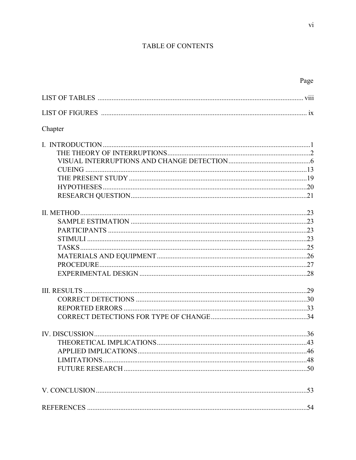## TABLE OF CONTENTS

| Chapter |    |
|---------|----|
|         |    |
|         |    |
|         |    |
|         |    |
|         |    |
|         |    |
|         |    |
|         |    |
|         |    |
|         |    |
|         |    |
|         |    |
|         |    |
|         |    |
|         |    |
|         |    |
|         |    |
|         |    |
|         |    |
|         |    |
|         |    |
|         |    |
|         |    |
|         |    |
|         |    |
|         | 54 |
|         |    |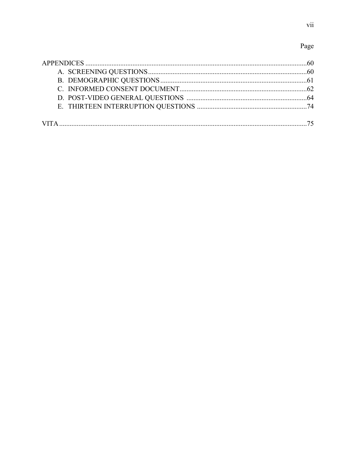## Page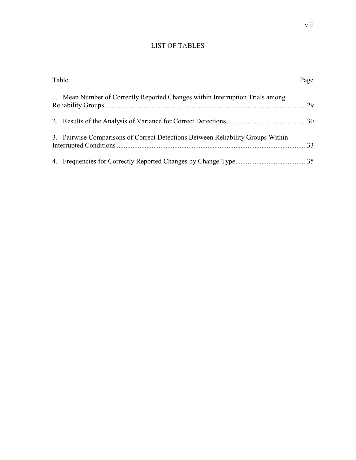## LIST OF TABLES

| Table |                                                                                 | Page |
|-------|---------------------------------------------------------------------------------|------|
|       | 1. Mean Number of Correctly Reported Changes within Interruption Trials among   |      |
|       |                                                                                 |      |
|       | 3. Pairwise Comparisons of Correct Detections Between Reliability Groups Within |      |
|       |                                                                                 |      |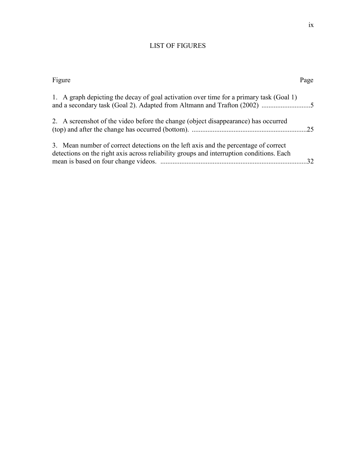## LIST OF FIGURES

| Figure<br>Page                                                                                                                                                                  |    |
|---------------------------------------------------------------------------------------------------------------------------------------------------------------------------------|----|
| 1. A graph depicting the decay of goal activation over time for a primary task (Goal 1)                                                                                         |    |
| 2. A screenshot of the video before the change (object disappearance) has occurred                                                                                              |    |
| 3. Mean number of correct detections on the left axis and the percentage of correct<br>detections on the right axis across reliability groups and interruption conditions. Each | 32 |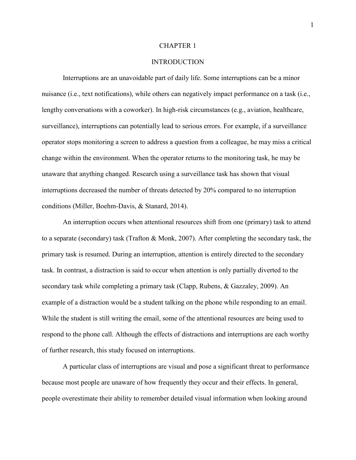#### CHAPTER 1

#### **INTRODUCTION**

Interruptions are an unavoidable part of daily life. Some interruptions can be a minor nuisance (i.e., text notifications), while others can negatively impact performance on a task (i.e., lengthy conversations with a coworker). In high-risk circumstances (e.g., aviation, healthcare, surveillance), interruptions can potentially lead to serious errors. For example, if a surveillance operator stops monitoring a screen to address a question from a colleague, he may miss a critical change within the environment. When the operator returns to the monitoring task, he may be unaware that anything changed. Research using a surveillance task has shown that visual interruptions decreased the number of threats detected by 20% compared to no interruption conditions (Miller, Boehm-Davis, & Stanard, 2014).

An interruption occurs when attentional resources shift from one (primary) task to attend to a separate (secondary) task (Trafton & Monk, 2007). After completing the secondary task, the primary task is resumed. During an interruption, attention is entirely directed to the secondary task. In contrast, a distraction is said to occur when attention is only partially diverted to the secondary task while completing a primary task (Clapp, Rubens, & Gazzaley, 2009). An example of a distraction would be a student talking on the phone while responding to an email. While the student is still writing the email, some of the attentional resources are being used to respond to the phone call. Although the effects of distractions and interruptions are each worthy of further research, this study focused on interruptions.

A particular class of interruptions are visual and pose a significant threat to performance because most people are unaware of how frequently they occur and their effects. In general, people overestimate their ability to remember detailed visual information when looking around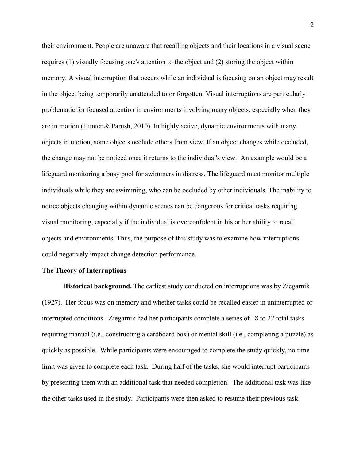their environment. People are unaware that recalling objects and their locations in a visual scene requires (1) visually focusing one's attention to the object and (2) storing the object within memory. A visual interruption that occurs while an individual is focusing on an object may result in the object being temporarily unattended to or forgotten. Visual interruptions are particularly problematic for focused attention in environments involving many objects, especially when they are in motion (Hunter & Parush, 2010). In highly active, dynamic environments with many objects in motion, some objects occlude others from view. If an object changes while occluded, the change may not be noticed once it returns to the individual's view. An example would be a lifeguard monitoring a busy pool for swimmers in distress. The lifeguard must monitor multiple individuals while they are swimming, who can be occluded by other individuals. The inability to notice objects changing within dynamic scenes can be dangerous for critical tasks requiring visual monitoring, especially if the individual is overconfident in his or her ability to recall objects and environments. Thus, the purpose of this study was to examine how interruptions could negatively impact change detection performance.

#### **The Theory of Interruptions**

**Historical background.** The earliest study conducted on interruptions was by Ziegarnik (1927). Her focus was on memory and whether tasks could be recalled easier in uninterrupted or interrupted conditions. Ziegarnik had her participants complete a series of 18 to 22 total tasks requiring manual (i.e., constructing a cardboard box) or mental skill (i.e., completing a puzzle) as quickly as possible. While participants were encouraged to complete the study quickly, no time limit was given to complete each task. During half of the tasks, she would interrupt participants by presenting them with an additional task that needed completion. The additional task was like the other tasks used in the study. Participants were then asked to resume their previous task.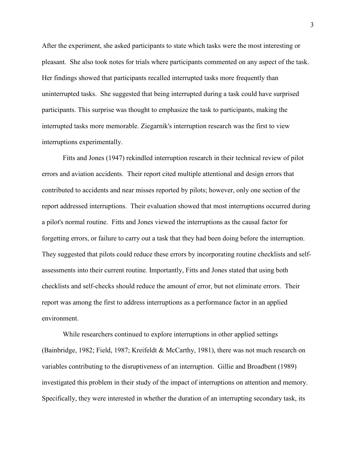After the experiment, she asked participants to state which tasks were the most interesting or pleasant. She also took notes for trials where participants commented on any aspect of the task. Her findings showed that participants recalled interrupted tasks more frequently than uninterrupted tasks. She suggested that being interrupted during a task could have surprised participants. This surprise was thought to emphasize the task to participants, making the interrupted tasks more memorable. Ziegarnik's interruption research was the first to view interruptions experimentally.

Fitts and Jones (1947) rekindled interruption research in their technical review of pilot errors and aviation accidents. Their report cited multiple attentional and design errors that contributed to accidents and near misses reported by pilots; however, only one section of the report addressed interruptions. Their evaluation showed that most interruptions occurred during a pilot's normal routine. Fitts and Jones viewed the interruptions as the causal factor for forgetting errors, or failure to carry out a task that they had been doing before the interruption. They suggested that pilots could reduce these errors by incorporating routine checklists and selfassessments into their current routine. Importantly, Fitts and Jones stated that using both checklists and self-checks should reduce the amount of error, but not eliminate errors. Their report was among the first to address interruptions as a performance factor in an applied environment.

While researchers continued to explore interruptions in other applied settings (Bainbridge, 1982; Field, 1987; Kreifeldt & McCarthy, 1981), there was not much research on variables contributing to the disruptiveness of an interruption. Gillie and Broadbent (1989) investigated this problem in their study of the impact of interruptions on attention and memory. Specifically, they were interested in whether the duration of an interrupting secondary task, its

3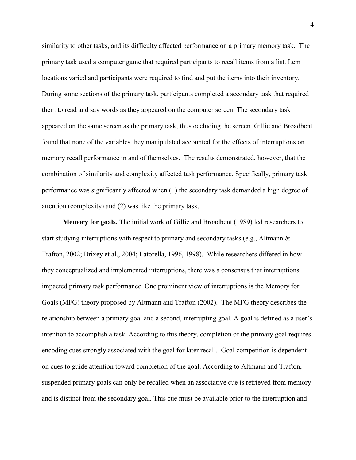similarity to other tasks, and its difficulty affected performance on a primary memory task. The primary task used a computer game that required participants to recall items from a list. Item locations varied and participants were required to find and put the items into their inventory. During some sections of the primary task, participants completed a secondary task that required them to read and say words as they appeared on the computer screen. The secondary task appeared on the same screen as the primary task, thus occluding the screen. Gillie and Broadbent found that none of the variables they manipulated accounted for the effects of interruptions on memory recall performance in and of themselves. The results demonstrated, however, that the combination of similarity and complexity affected task performance. Specifically, primary task performance was significantly affected when (1) the secondary task demanded a high degree of attention (complexity) and (2) was like the primary task.

 **Memory for goals.** The initial work of Gillie and Broadbent (1989) led researchers to start studying interruptions with respect to primary and secondary tasks (e.g., Altmann & Trafton, 2002; Brixey et al., 2004; Latorella, 1996, 1998). While researchers differed in how they conceptualized and implemented interruptions, there was a consensus that interruptions impacted primary task performance. One prominent view of interruptions is the Memory for Goals (MFG) theory proposed by Altmann and Trafton (2002). The MFG theory describes the relationship between a primary goal and a second, interrupting goal. A goal is defined as a user's intention to accomplish a task. According to this theory, completion of the primary goal requires encoding cues strongly associated with the goal for later recall. Goal competition is dependent on cues to guide attention toward completion of the goal. According to Altmann and Trafton, suspended primary goals can only be recalled when an associative cue is retrieved from memory and is distinct from the secondary goal. This cue must be available prior to the interruption and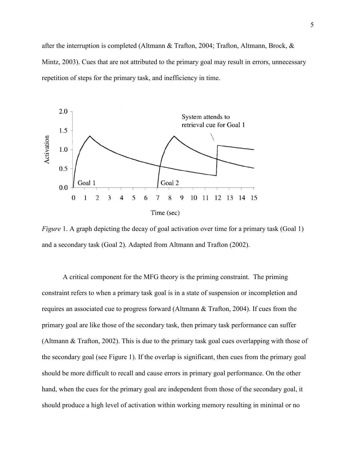after the interruption is completed (Altmann & Trafton, 2004; Trafton, Altmann, Brock, & Mintz, 2003). Cues that are not attributed to the primary goal may result in errors, unnecessary repetition of steps for the primary task, and inefficiency in time.



*Figure* 1. A graph depicting the decay of goal activation over time for a primary task (Goal 1) and a secondary task (Goal 2). Adapted from Altmann and Trafton (2002).

A critical component for the MFG theory is the priming constraint. The priming constraint refers to when a primary task goal is in a state of suspension or incompletion and requires an associated cue to progress forward (Altmann & Trafton, 2004). If cues from the primary goal are like those of the secondary task, then primary task performance can suffer (Altmann & Trafton, 2002). This is due to the primary task goal cues overlapping with those of the secondary goal (see Figure 1). If the overlap is significant, then cues from the primary goal should be more difficult to recall and cause errors in primary goal performance. On the other hand, when the cues for the primary goal are independent from those of the secondary goal, it should produce a high level of activation within working memory resulting in minimal or no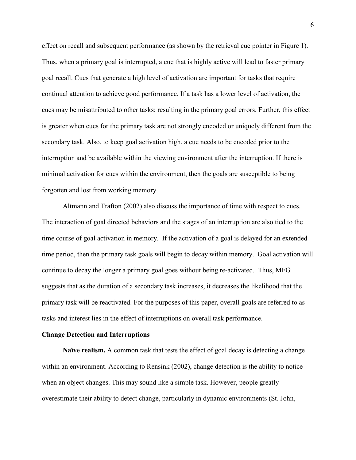effect on recall and subsequent performance (as shown by the retrieval cue pointer in Figure 1). Thus, when a primary goal is interrupted, a cue that is highly active will lead to faster primary goal recall. Cues that generate a high level of activation are important for tasks that require continual attention to achieve good performance. If a task has a lower level of activation, the cues may be misattributed to other tasks: resulting in the primary goal errors. Further, this effect is greater when cues for the primary task are not strongly encoded or uniquely different from the secondary task. Also, to keep goal activation high, a cue needs to be encoded prior to the interruption and be available within the viewing environment after the interruption. If there is minimal activation for cues within the environment, then the goals are susceptible to being forgotten and lost from working memory.

Altmann and Trafton (2002) also discuss the importance of time with respect to cues. The interaction of goal directed behaviors and the stages of an interruption are also tied to the time course of goal activation in memory. If the activation of a goal is delayed for an extended time period, then the primary task goals will begin to decay within memory. Goal activation will continue to decay the longer a primary goal goes without being re-activated. Thus, MFG suggests that as the duration of a secondary task increases, it decreases the likelihood that the primary task will be reactivated. For the purposes of this paper, overall goals are referred to as tasks and interest lies in the effect of interruptions on overall task performance.

#### **Change Detection and Interruptions**

 **Naïve realism.** A common task that tests the effect of goal decay is detecting a change within an environment. According to Rensink (2002), change detection is the ability to notice when an object changes. This may sound like a simple task. However, people greatly overestimate their ability to detect change, particularly in dynamic environments (St. John,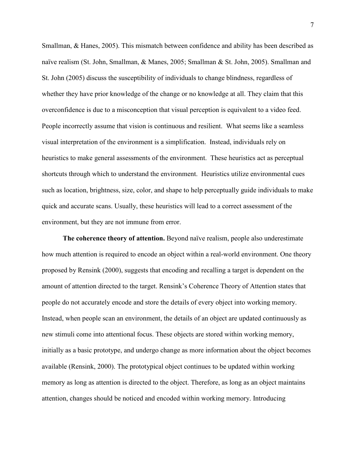Smallman, & Hanes, 2005). This mismatch between confidence and ability has been described as naïve realism (St. John, Smallman, & Manes, 2005; Smallman & St. John, 2005). Smallman and St. John (2005) discuss the susceptibility of individuals to change blindness, regardless of whether they have prior knowledge of the change or no knowledge at all. They claim that this overconfidence is due to a misconception that visual perception is equivalent to a video feed. People incorrectly assume that vision is continuous and resilient. What seems like a seamless visual interpretation of the environment is a simplification. Instead, individuals rely on heuristics to make general assessments of the environment. These heuristics act as perceptual shortcuts through which to understand the environment. Heuristics utilize environmental cues such as location, brightness, size, color, and shape to help perceptually guide individuals to make quick and accurate scans. Usually, these heuristics will lead to a correct assessment of the environment, but they are not immune from error.

**The coherence theory of attention.** Beyond naïve realism, people also underestimate how much attention is required to encode an object within a real-world environment. One theory proposed by Rensink (2000), suggests that encoding and recalling a target is dependent on the amount of attention directed to the target. Rensink's Coherence Theory of Attention states that people do not accurately encode and store the details of every object into working memory. Instead, when people scan an environment, the details of an object are updated continuously as new stimuli come into attentional focus. These objects are stored within working memory, initially as a basic prototype, and undergo change as more information about the object becomes available (Rensink, 2000). The prototypical object continues to be updated within working memory as long as attention is directed to the object. Therefore, as long as an object maintains attention, changes should be noticed and encoded within working memory. Introducing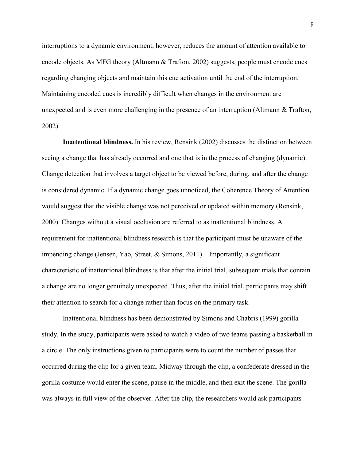interruptions to a dynamic environment, however, reduces the amount of attention available to encode objects. As MFG theory (Altmann & Trafton, 2002) suggests, people must encode cues regarding changing objects and maintain this cue activation until the end of the interruption. Maintaining encoded cues is incredibly difficult when changes in the environment are unexpected and is even more challenging in the presence of an interruption (Altmann & Trafton, 2002).

 **Inattentional blindness.** In his review, Rensink (2002) discusses the distinction between seeing a change that has already occurred and one that is in the process of changing (dynamic). Change detection that involves a target object to be viewed before, during, and after the change is considered dynamic. If a dynamic change goes unnoticed, the Coherence Theory of Attention would suggest that the visible change was not perceived or updated within memory (Rensink, 2000). Changes without a visual occlusion are referred to as inattentional blindness. A requirement for inattentional blindness research is that the participant must be unaware of the impending change (Jensen, Yao, Street, & Simons, 2011). Importantly, a significant characteristic of inattentional blindness is that after the initial trial, subsequent trials that contain a change are no longer genuinely unexpected. Thus, after the initial trial, participants may shift their attention to search for a change rather than focus on the primary task.

Inattentional blindness has been demonstrated by Simons and Chabris (1999) gorilla study. In the study, participants were asked to watch a video of two teams passing a basketball in a circle. The only instructions given to participants were to count the number of passes that occurred during the clip for a given team. Midway through the clip, a confederate dressed in the gorilla costume would enter the scene, pause in the middle, and then exit the scene. The gorilla was always in full view of the observer. After the clip, the researchers would ask participants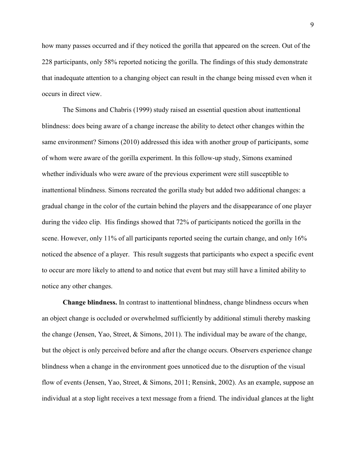how many passes occurred and if they noticed the gorilla that appeared on the screen. Out of the 228 participants, only 58% reported noticing the gorilla. The findings of this study demonstrate that inadequate attention to a changing object can result in the change being missed even when it occurs in direct view.

 The Simons and Chabris (1999) study raised an essential question about inattentional blindness: does being aware of a change increase the ability to detect other changes within the same environment? Simons (2010) addressed this idea with another group of participants, some of whom were aware of the gorilla experiment. In this follow-up study, Simons examined whether individuals who were aware of the previous experiment were still susceptible to inattentional blindness. Simons recreated the gorilla study but added two additional changes: a gradual change in the color of the curtain behind the players and the disappearance of one player during the video clip. His findings showed that 72% of participants noticed the gorilla in the scene. However, only 11% of all participants reported seeing the curtain change, and only 16% noticed the absence of a player. This result suggests that participants who expect a specific event to occur are more likely to attend to and notice that event but may still have a limited ability to notice any other changes.

 **Change blindness.** In contrast to inattentional blindness, change blindness occurs when an object change is occluded or overwhelmed sufficiently by additional stimuli thereby masking the change (Jensen, Yao, Street, & Simons, 2011). The individual may be aware of the change, but the object is only perceived before and after the change occurs. Observers experience change blindness when a change in the environment goes unnoticed due to the disruption of the visual flow of events (Jensen, Yao, Street, & Simons, 2011; Rensink, 2002). As an example, suppose an individual at a stop light receives a text message from a friend. The individual glances at the light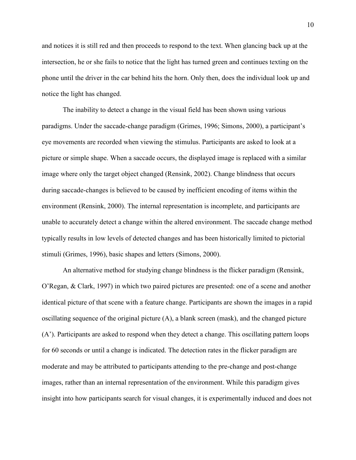and notices it is still red and then proceeds to respond to the text. When glancing back up at the intersection, he or she fails to notice that the light has turned green and continues texting on the phone until the driver in the car behind hits the horn. Only then, does the individual look up and notice the light has changed.

The inability to detect a change in the visual field has been shown using various paradigms. Under the saccade-change paradigm (Grimes, 1996; Simons, 2000), a participant's eye movements are recorded when viewing the stimulus. Participants are asked to look at a picture or simple shape. When a saccade occurs, the displayed image is replaced with a similar image where only the target object changed (Rensink, 2002). Change blindness that occurs during saccade-changes is believed to be caused by inefficient encoding of items within the environment (Rensink, 2000). The internal representation is incomplete, and participants are unable to accurately detect a change within the altered environment. The saccade change method typically results in low levels of detected changes and has been historically limited to pictorial stimuli (Grimes, 1996), basic shapes and letters (Simons, 2000).

 An alternative method for studying change blindness is the flicker paradigm (Rensink, O'Regan, & Clark, 1997) in which two paired pictures are presented: one of a scene and another identical picture of that scene with a feature change. Participants are shown the images in a rapid oscillating sequence of the original picture  $(A)$ , a blank screen (mask), and the changed picture (A'). Participants are asked to respond when they detect a change. This oscillating pattern loops for 60 seconds or until a change is indicated. The detection rates in the flicker paradigm are moderate and may be attributed to participants attending to the pre-change and post-change images, rather than an internal representation of the environment. While this paradigm gives insight into how participants search for visual changes, it is experimentally induced and does not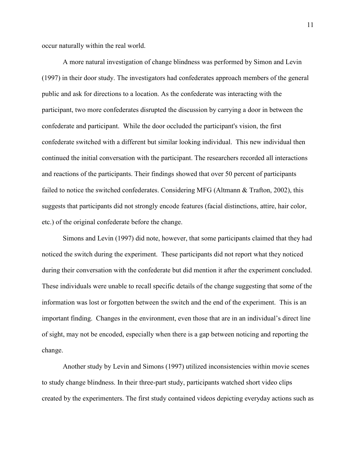occur naturally within the real world.

 A more natural investigation of change blindness was performed by Simon and Levin (1997) in their door study. The investigators had confederates approach members of the general public and ask for directions to a location. As the confederate was interacting with the participant, two more confederates disrupted the discussion by carrying a door in between the confederate and participant. While the door occluded the participant's vision, the first confederate switched with a different but similar looking individual. This new individual then continued the initial conversation with the participant. The researchers recorded all interactions and reactions of the participants. Their findings showed that over 50 percent of participants failed to notice the switched confederates. Considering MFG (Altmann & Trafton, 2002), this suggests that participants did not strongly encode features (facial distinctions, attire, hair color, etc.) of the original confederate before the change.

 Simons and Levin (1997) did note, however, that some participants claimed that they had noticed the switch during the experiment. These participants did not report what they noticed during their conversation with the confederate but did mention it after the experiment concluded. These individuals were unable to recall specific details of the change suggesting that some of the information was lost or forgotten between the switch and the end of the experiment. This is an important finding. Changes in the environment, even those that are in an individual's direct line of sight, may not be encoded, especially when there is a gap between noticing and reporting the change.

 Another study by Levin and Simons (1997) utilized inconsistencies within movie scenes to study change blindness. In their three-part study, participants watched short video clips created by the experimenters. The first study contained videos depicting everyday actions such as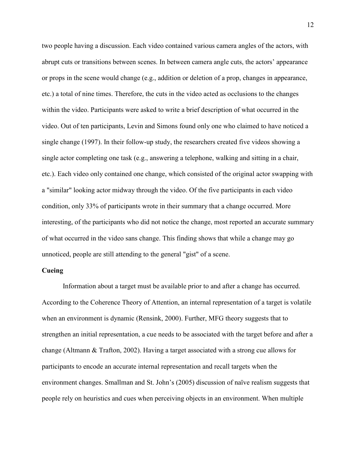two people having a discussion. Each video contained various camera angles of the actors, with abrupt cuts or transitions between scenes. In between camera angle cuts, the actors' appearance or props in the scene would change (e.g., addition or deletion of a prop, changes in appearance, etc.) a total of nine times. Therefore, the cuts in the video acted as occlusions to the changes within the video. Participants were asked to write a brief description of what occurred in the video. Out of ten participants, Levin and Simons found only one who claimed to have noticed a single change (1997). In their follow-up study, the researchers created five videos showing a single actor completing one task (e.g., answering a telephone, walking and sitting in a chair, etc.). Each video only contained one change, which consisted of the original actor swapping with a "similar" looking actor midway through the video. Of the five participants in each video condition, only 33% of participants wrote in their summary that a change occurred. More interesting, of the participants who did not notice the change, most reported an accurate summary of what occurred in the video sans change. This finding shows that while a change may go unnoticed, people are still attending to the general "gist" of a scene.

#### **Cueing**

 Information about a target must be available prior to and after a change has occurred. According to the Coherence Theory of Attention, an internal representation of a target is volatile when an environment is dynamic (Rensink, 2000). Further, MFG theory suggests that to strengthen an initial representation, a cue needs to be associated with the target before and after a change (Altmann & Trafton, 2002). Having a target associated with a strong cue allows for participants to encode an accurate internal representation and recall targets when the environment changes. Smallman and St. John's (2005) discussion of naïve realism suggests that people rely on heuristics and cues when perceiving objects in an environment. When multiple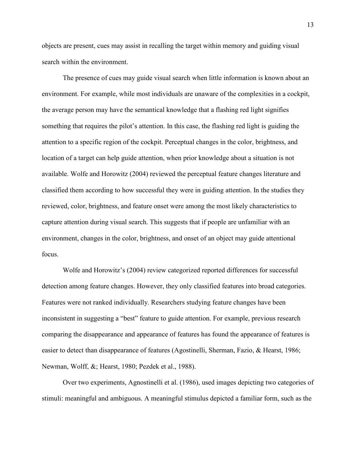objects are present, cues may assist in recalling the target within memory and guiding visual search within the environment.

 The presence of cues may guide visual search when little information is known about an environment. For example, while most individuals are unaware of the complexities in a cockpit, the average person may have the semantical knowledge that a flashing red light signifies something that requires the pilot's attention. In this case, the flashing red light is guiding the attention to a specific region of the cockpit. Perceptual changes in the color, brightness, and location of a target can help guide attention, when prior knowledge about a situation is not available. Wolfe and Horowitz (2004) reviewed the perceptual feature changes literature and classified them according to how successful they were in guiding attention. In the studies they reviewed, color, brightness, and feature onset were among the most likely characteristics to capture attention during visual search. This suggests that if people are unfamiliar with an environment, changes in the color, brightness, and onset of an object may guide attentional focus.

Wolfe and Horowitz's (2004) review categorized reported differences for successful detection among feature changes. However, they only classified features into broad categories. Features were not ranked individually. Researchers studying feature changes have been inconsistent in suggesting a "best" feature to guide attention. For example, previous research comparing the disappearance and appearance of features has found the appearance of features is easier to detect than disappearance of features (Agostinelli, Sherman, Fazio, & Hearst, 1986; Newman, Wolff, &; Hearst, 1980; Pezdek et al., 1988).

Over two experiments, Agnostinelli et al. (1986), used images depicting two categories of stimuli: meaningful and ambiguous. A meaningful stimulus depicted a familiar form, such as the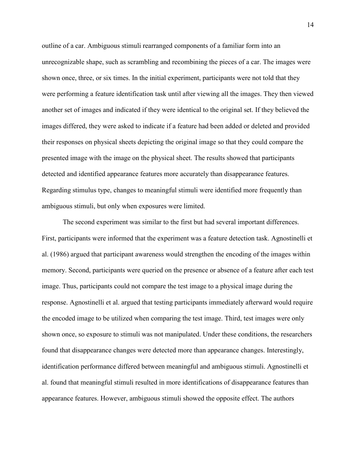outline of a car. Ambiguous stimuli rearranged components of a familiar form into an unrecognizable shape, such as scrambling and recombining the pieces of a car. The images were shown once, three, or six times. In the initial experiment, participants were not told that they were performing a feature identification task until after viewing all the images. They then viewed another set of images and indicated if they were identical to the original set. If they believed the images differed, they were asked to indicate if a feature had been added or deleted and provided their responses on physical sheets depicting the original image so that they could compare the presented image with the image on the physical sheet. The results showed that participants detected and identified appearance features more accurately than disappearance features. Regarding stimulus type, changes to meaningful stimuli were identified more frequently than ambiguous stimuli, but only when exposures were limited.

The second experiment was similar to the first but had several important differences. First, participants were informed that the experiment was a feature detection task. Agnostinelli et al. (1986) argued that participant awareness would strengthen the encoding of the images within memory. Second, participants were queried on the presence or absence of a feature after each test image. Thus, participants could not compare the test image to a physical image during the response. Agnostinelli et al. argued that testing participants immediately afterward would require the encoded image to be utilized when comparing the test image. Third, test images were only shown once, so exposure to stimuli was not manipulated. Under these conditions, the researchers found that disappearance changes were detected more than appearance changes. Interestingly, identification performance differed between meaningful and ambiguous stimuli. Agnostinelli et al. found that meaningful stimuli resulted in more identifications of disappearance features than appearance features. However, ambiguous stimuli showed the opposite effect. The authors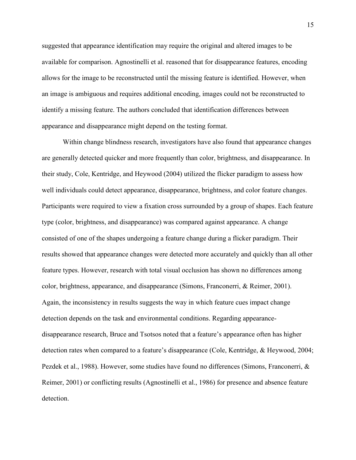suggested that appearance identification may require the original and altered images to be available for comparison. Agnostinelli et al. reasoned that for disappearance features, encoding allows for the image to be reconstructed until the missing feature is identified. However, when an image is ambiguous and requires additional encoding, images could not be reconstructed to identify a missing feature. The authors concluded that identification differences between appearance and disappearance might depend on the testing format.

Within change blindness research, investigators have also found that appearance changes are generally detected quicker and more frequently than color, brightness, and disappearance. In their study, Cole, Kentridge, and Heywood (2004) utilized the flicker paradigm to assess how well individuals could detect appearance, disappearance, brightness, and color feature changes. Participants were required to view a fixation cross surrounded by a group of shapes. Each feature type (color, brightness, and disappearance) was compared against appearance. A change consisted of one of the shapes undergoing a feature change during a flicker paradigm. Their results showed that appearance changes were detected more accurately and quickly than all other feature types. However, research with total visual occlusion has shown no differences among color, brightness, appearance, and disappearance (Simons, Franconerri, & Reimer, 2001). Again, the inconsistency in results suggests the way in which feature cues impact change detection depends on the task and environmental conditions. Regarding appearancedisappearance research, Bruce and Tsotsos noted that a feature's appearance often has higher detection rates when compared to a feature's disappearance (Cole, Kentridge, & Heywood, 2004; Pezdek et al., 1988). However, some studies have found no differences (Simons, Franconerri, & Reimer, 2001) or conflicting results (Agnostinelli et al., 1986) for presence and absence feature detection.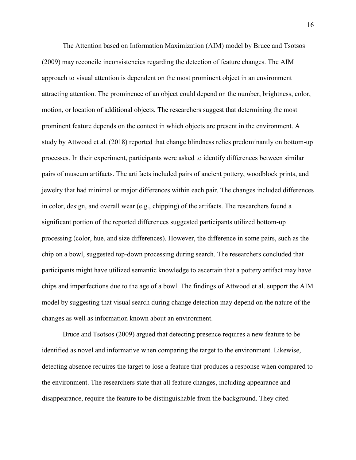The Attention based on Information Maximization (AIM) model by Bruce and Tsotsos (2009) may reconcile inconsistencies regarding the detection of feature changes. The AIM approach to visual attention is dependent on the most prominent object in an environment attracting attention. The prominence of an object could depend on the number, brightness, color, motion, or location of additional objects. The researchers suggest that determining the most prominent feature depends on the context in which objects are present in the environment. A study by Attwood et al. (2018) reported that change blindness relies predominantly on bottom-up processes. In their experiment, participants were asked to identify differences between similar pairs of museum artifacts. The artifacts included pairs of ancient pottery, woodblock prints, and jewelry that had minimal or major differences within each pair. The changes included differences in color, design, and overall wear (e.g., chipping) of the artifacts. The researchers found a significant portion of the reported differences suggested participants utilized bottom-up processing (color, hue, and size differences). However, the difference in some pairs, such as the chip on a bowl, suggested top-down processing during search. The researchers concluded that participants might have utilized semantic knowledge to ascertain that a pottery artifact may have chips and imperfections due to the age of a bowl. The findings of Attwood et al. support the AIM model by suggesting that visual search during change detection may depend on the nature of the changes as well as information known about an environment.

Bruce and Tsotsos (2009) argued that detecting presence requires a new feature to be identified as novel and informative when comparing the target to the environment. Likewise, detecting absence requires the target to lose a feature that produces a response when compared to the environment. The researchers state that all feature changes, including appearance and disappearance, require the feature to be distinguishable from the background. They cited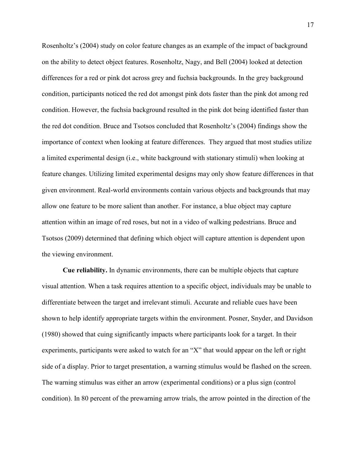Rosenholtz's (2004) study on color feature changes as an example of the impact of background on the ability to detect object features. Rosenholtz, Nagy, and Bell (2004) looked at detection differences for a red or pink dot across grey and fuchsia backgrounds. In the grey background condition, participants noticed the red dot amongst pink dots faster than the pink dot among red condition. However, the fuchsia background resulted in the pink dot being identified faster than the red dot condition. Bruce and Tsotsos concluded that Rosenholtz's (2004) findings show the importance of context when looking at feature differences. They argued that most studies utilize a limited experimental design (i.e., white background with stationary stimuli) when looking at feature changes. Utilizing limited experimental designs may only show feature differences in that given environment. Real-world environments contain various objects and backgrounds that may allow one feature to be more salient than another. For instance, a blue object may capture attention within an image of red roses, but not in a video of walking pedestrians. Bruce and Tsotsos (2009) determined that defining which object will capture attention is dependent upon the viewing environment.

 **Cue reliability.** In dynamic environments, there can be multiple objects that capture visual attention. When a task requires attention to a specific object, individuals may be unable to differentiate between the target and irrelevant stimuli. Accurate and reliable cues have been shown to help identify appropriate targets within the environment. Posner, Snyder, and Davidson (1980) showed that cuing significantly impacts where participants look for a target. In their experiments, participants were asked to watch for an "X" that would appear on the left or right side of a display. Prior to target presentation, a warning stimulus would be flashed on the screen. The warning stimulus was either an arrow (experimental conditions) or a plus sign (control condition). In 80 percent of the prewarning arrow trials, the arrow pointed in the direction of the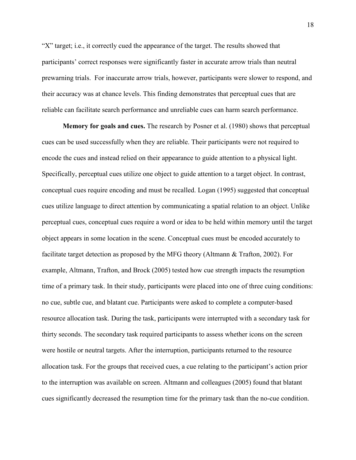"X" target; i.e., it correctly cued the appearance of the target. The results showed that participants' correct responses were significantly faster in accurate arrow trials than neutral prewarning trials. For inaccurate arrow trials, however, participants were slower to respond, and their accuracy was at chance levels. This finding demonstrates that perceptual cues that are reliable can facilitate search performance and unreliable cues can harm search performance.

 **Memory for goals and cues.** The research by Posner et al. (1980) shows that perceptual cues can be used successfully when they are reliable. Their participants were not required to encode the cues and instead relied on their appearance to guide attention to a physical light. Specifically, perceptual cues utilize one object to guide attention to a target object. In contrast, conceptual cues require encoding and must be recalled. Logan (1995) suggested that conceptual cues utilize language to direct attention by communicating a spatial relation to an object. Unlike perceptual cues, conceptual cues require a word or idea to be held within memory until the target object appears in some location in the scene. Conceptual cues must be encoded accurately to facilitate target detection as proposed by the MFG theory (Altmann & Trafton, 2002). For example, Altmann, Trafton, and Brock (2005) tested how cue strength impacts the resumption time of a primary task. In their study, participants were placed into one of three cuing conditions: no cue, subtle cue, and blatant cue. Participants were asked to complete a computer-based resource allocation task. During the task, participants were interrupted with a secondary task for thirty seconds. The secondary task required participants to assess whether icons on the screen were hostile or neutral targets. After the interruption, participants returned to the resource allocation task. For the groups that received cues, a cue relating to the participant's action prior to the interruption was available on screen. Altmann and colleagues (2005) found that blatant cues significantly decreased the resumption time for the primary task than the no-cue condition.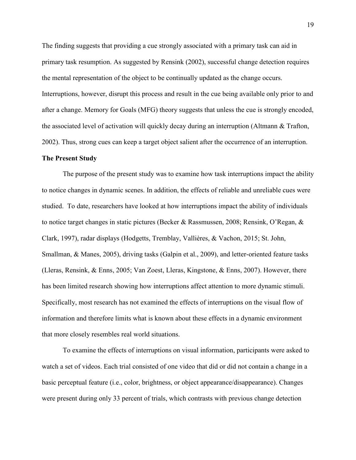The finding suggests that providing a cue strongly associated with a primary task can aid in primary task resumption. As suggested by Rensink (2002), successful change detection requires the mental representation of the object to be continually updated as the change occurs. Interruptions, however, disrupt this process and result in the cue being available only prior to and after a change. Memory for Goals (MFG) theory suggests that unless the cue is strongly encoded, the associated level of activation will quickly decay during an interruption (Altmann & Trafton, 2002). Thus, strong cues can keep a target object salient after the occurrence of an interruption.

#### **The Present Study**

The purpose of the present study was to examine how task interruptions impact the ability to notice changes in dynamic scenes. In addition, the effects of reliable and unreliable cues were studied. To date, researchers have looked at how interruptions impact the ability of individuals to notice target changes in static pictures (Becker & Rassmussen, 2008; Rensink, O'Regan, & Clark, 1997), radar displays (Hodgetts, Tremblay, Vallières, & Vachon, 2015; St. John, Smallman, & Manes, 2005), driving tasks (Galpin et al., 2009), and letter-oriented feature tasks (Lleras, Rensink, & Enns, 2005; Van Zoest, Lleras, Kingstone, & Enns, 2007). However, there has been limited research showing how interruptions affect attention to more dynamic stimuli. Specifically, most research has not examined the effects of interruptions on the visual flow of information and therefore limits what is known about these effects in a dynamic environment that more closely resembles real world situations.

To examine the effects of interruptions on visual information, participants were asked to watch a set of videos. Each trial consisted of one video that did or did not contain a change in a basic perceptual feature (i.e., color, brightness, or object appearance/disappearance). Changes were present during only 33 percent of trials, which contrasts with previous change detection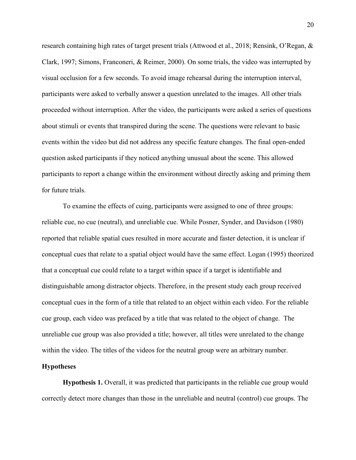research containing high rates of target present trials (Attwood et al., 2018; Rensink, O'Regan, & Clark, 1997; Simons, Franconeri, & Reimer, 2000). On some trials, the video was interrupted by visual occlusion for a few seconds. To avoid image rehearsal during the interruption interval, participants were asked to verbally answer a question unrelated to the images. All other trials proceeded without interruption. After the video, the participants were asked a series of questions about stimuli or events that transpired during the scene. The questions were relevant to basic events within the video but did not address any specific feature changes. The final open-ended question asked participants if they noticed anything unusual about the scene. This allowed participants to report a change within the environment without directly asking and priming them for future trials.

To examine the effects of cuing, participants were assigned to one of three groups: reliable cue, no cue (neutral), and unreliable cue. While Posner, Synder, and Davidson (1980) reported that reliable spatial cues resulted in more accurate and faster detection, it is unclear if conceptual cues that relate to a spatial object would have the same effect. Logan (1995) theorized that a conceptual cue could relate to a target within space if a target is identifiable and distinguishable among distractor objects. Therefore, in the present study each group received conceptual cues in the form of a title that related to an object within each video. For the reliable cue group, each video was prefaced by a title that was related to the object of change. The unreliable cue group was also provided a title; however, all titles were unrelated to the change within the video. The titles of the videos for the neutral group were an arbitrary number.

#### **Hypotheses**

**Hypothesis 1.** Overall, it was predicted that participants in the reliable cue group would correctly detect more changes than those in the unreliable and neutral (control) cue groups. The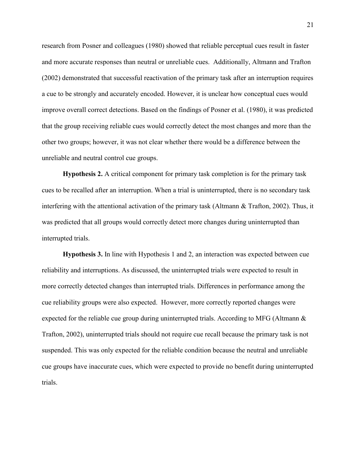research from Posner and colleagues (1980) showed that reliable perceptual cues result in faster and more accurate responses than neutral or unreliable cues. Additionally, Altmann and Trafton (2002) demonstrated that successful reactivation of the primary task after an interruption requires a cue to be strongly and accurately encoded. However, it is unclear how conceptual cues would improve overall correct detections. Based on the findings of Posner et al. (1980), it was predicted that the group receiving reliable cues would correctly detect the most changes and more than the other two groups; however, it was not clear whether there would be a difference between the unreliable and neutral control cue groups.

**Hypothesis 2.** A critical component for primary task completion is for the primary task cues to be recalled after an interruption. When a trial is uninterrupted, there is no secondary task interfering with the attentional activation of the primary task (Altmann & Trafton, 2002). Thus, it was predicted that all groups would correctly detect more changes during uninterrupted than interrupted trials.

**Hypothesis 3.** In line with Hypothesis 1 and 2, an interaction was expected between cue reliability and interruptions. As discussed, the uninterrupted trials were expected to result in more correctly detected changes than interrupted trials. Differences in performance among the cue reliability groups were also expected. However, more correctly reported changes were expected for the reliable cue group during uninterrupted trials. According to MFG (Altmann & Trafton, 2002), uninterrupted trials should not require cue recall because the primary task is not suspended. This was only expected for the reliable condition because the neutral and unreliable cue groups have inaccurate cues, which were expected to provide no benefit during uninterrupted trials.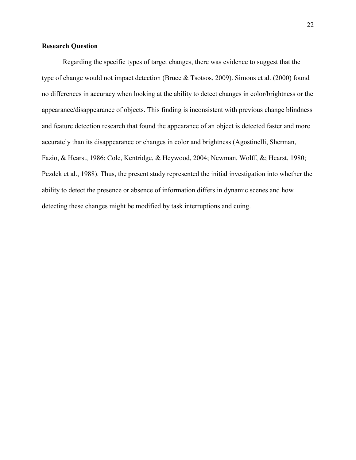### **Research Question**

Regarding the specific types of target changes, there was evidence to suggest that the type of change would not impact detection (Bruce & Tsotsos, 2009). Simons et al. (2000) found no differences in accuracy when looking at the ability to detect changes in color/brightness or the appearance/disappearance of objects. This finding is inconsistent with previous change blindness and feature detection research that found the appearance of an object is detected faster and more accurately than its disappearance or changes in color and brightness (Agostinelli, Sherman, Fazio, & Hearst, 1986; Cole, Kentridge, & Heywood, 2004; Newman, Wolff, &; Hearst, 1980; Pezdek et al., 1988). Thus, the present study represented the initial investigation into whether the ability to detect the presence or absence of information differs in dynamic scenes and how detecting these changes might be modified by task interruptions and cuing.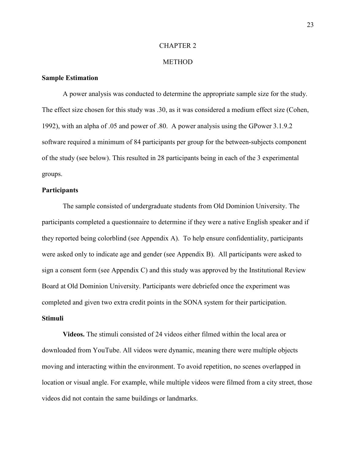#### CHAPTER 2

#### **METHOD**

#### **Sample Estimation**

A power analysis was conducted to determine the appropriate sample size for the study. The effect size chosen for this study was .30, as it was considered a medium effect size (Cohen, 1992), with an alpha of .05 and power of .80. A power analysis using the GPower 3.1.9.2 software required a minimum of 84 participants per group for the between-subjects component of the study (see below). This resulted in 28 participants being in each of the 3 experimental groups.

#### **Participants**

The sample consisted of undergraduate students from Old Dominion University. The participants completed a questionnaire to determine if they were a native English speaker and if they reported being colorblind (see Appendix A). To help ensure confidentiality, participants were asked only to indicate age and gender (see Appendix B). All participants were asked to sign a consent form (see Appendix C) and this study was approved by the Institutional Review Board at Old Dominion University. Participants were debriefed once the experiment was completed and given two extra credit points in the SONA system for their participation. **Stimuli** 

**Videos.** The stimuli consisted of 24 videos either filmed within the local area or downloaded from YouTube. All videos were dynamic, meaning there were multiple objects moving and interacting within the environment. To avoid repetition, no scenes overlapped in location or visual angle. For example, while multiple videos were filmed from a city street, those videos did not contain the same buildings or landmarks.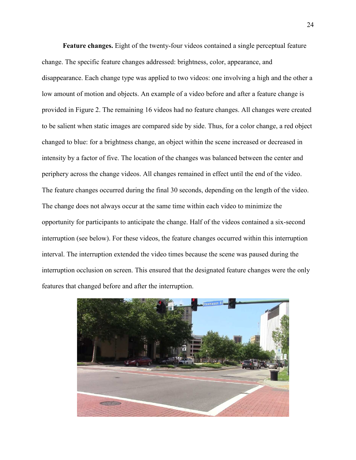**Feature changes.** Eight of the twenty-four videos contained a single perceptual feature change. The specific feature changes addressed: brightness, color, appearance, and disappearance. Each change type was applied to two videos: one involving a high and the other a low amount of motion and objects. An example of a video before and after a feature change is provided in Figure 2. The remaining 16 videos had no feature changes. All changes were created to be salient when static images are compared side by side. Thus, for a color change, a red object changed to blue: for a brightness change, an object within the scene increased or decreased in intensity by a factor of five. The location of the changes was balanced between the center and periphery across the change videos. All changes remained in effect until the end of the video. The feature changes occurred during the final 30 seconds, depending on the length of the video. The change does not always occur at the same time within each video to minimize the opportunity for participants to anticipate the change. Half of the videos contained a six-second interruption (see below). For these videos, the feature changes occurred within this interruption interval. The interruption extended the video times because the scene was paused during the interruption occlusion on screen. This ensured that the designated feature changes were the only features that changed before and after the interruption.

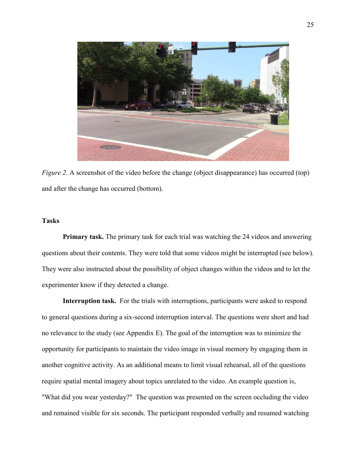

*Figure 2.* A screenshot of the video before the change (object disappearance) has occurred (top) and after the change has occurred (bottom).

### **Tasks**

**Primary task.** The primary task for each trial was watching the 24 videos and answering questions about their contents. They were told that some videos might be interrupted (see below). They were also instructed about the possibility of object changes within the videos and to let the experimenter know if they detected a change.

**Interruption task.** For the trials with interruptions, participants were asked to respond to general questions during a six-second interruption interval. The questions were short and had no relevance to the study (see Appendix E). The goal of the interruption was to minimize the opportunity for participants to maintain the video image in visual memory by engaging them in another cognitive activity. As an additional means to limit visual rehearsal, all of the questions require spatial mental imagery about topics unrelated to the video. An example question is, "What did you wear yesterday?" The question was presented on the screen occluding the video and remained visible for six seconds. The participant responded verbally and resumed watching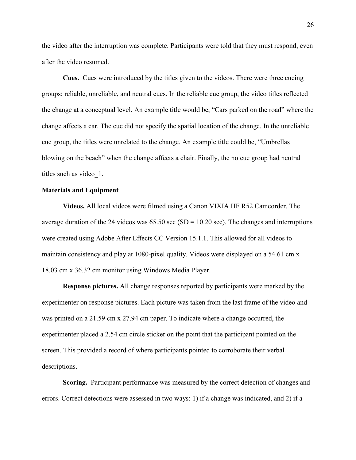the video after the interruption was complete. Participants were told that they must respond, even after the video resumed.

**Cues.** Cues were introduced by the titles given to the videos. There were three cueing groups: reliable, unreliable, and neutral cues. In the reliable cue group, the video titles reflected the change at a conceptual level. An example title would be, "Cars parked on the road" where the change affects a car. The cue did not specify the spatial location of the change. In the unreliable cue group, the titles were unrelated to the change. An example title could be, "Umbrellas blowing on the beach" when the change affects a chair. Finally, the no cue group had neutral titles such as video\_1.

#### **Materials and Equipment**

**Videos.** All local videos were filmed using a Canon VIXIA HF R52 Camcorder. The average duration of the 24 videos was  $65.50$  sec (SD = 10.20 sec). The changes and interruptions were created using Adobe After Effects CC Version 15.1.1. This allowed for all videos to maintain consistency and play at 1080-pixel quality. Videos were displayed on a 54.61 cm x 18.03 cm x 36.32 cm monitor using Windows Media Player.

**Response pictures.** All change responses reported by participants were marked by the experimenter on response pictures. Each picture was taken from the last frame of the video and was printed on a 21.59 cm x 27.94 cm paper. To indicate where a change occurred, the experimenter placed a 2.54 cm circle sticker on the point that the participant pointed on the screen. This provided a record of where participants pointed to corroborate their verbal descriptions.

**Scoring.** Participant performance was measured by the correct detection of changes and errors. Correct detections were assessed in two ways: 1) if a change was indicated, and 2) if a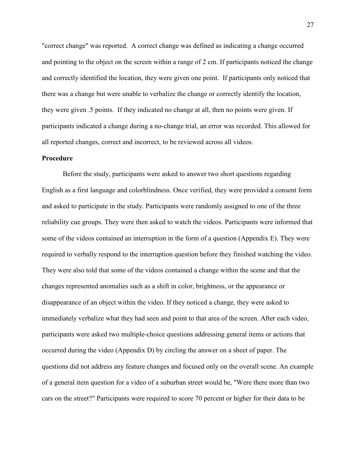"correct change" was reported. A correct change was defined as indicating a change occurred and pointing to the object on the screen within a range of 2 cm. If participants noticed the change and correctly identified the location, they were given one point. If participants only noticed that there was a change but were unable to verbalize the change or correctly identify the location, they were given .5 points. If they indicated no change at all, then no points were given. If participants indicated a change during a no-change trial, an error was recorded. This allowed for all reported changes, correct and incorrect, to be reviewed across all videos.

#### **Procedure**

Before the study, participants were asked to answer two short questions regarding English as a first language and colorblindness. Once verified, they were provided a consent form and asked to participate in the study. Participants were randomly assigned to one of the three reliability cue groups. They were then asked to watch the videos. Participants were informed that some of the videos contained an interruption in the form of a question (Appendix E). They were required to verbally respond to the interruption question before they finished watching the video. They were also told that some of the videos contained a change within the scene and that the changes represented anomalies such as a shift in color, brightness, or the appearance or disappearance of an object within the video. If they noticed a change, they were asked to immediately verbalize what they had seen and point to that area of the screen. After each video, participants were asked two multiple-choice questions addressing general items or actions that occurred during the video (Appendix D) by circling the answer on a sheet of paper. The questions did not address any feature changes and focused only on the overall scene. An example of a general item question for a video of a suburban street would be, "Were there more than two cars on the street?" Participants were required to score 70 percent or higher for their data to be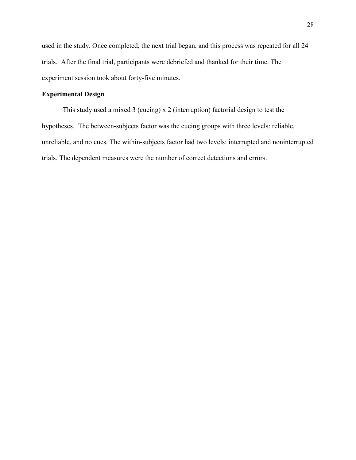used in the study. Once completed, the next trial began, and this process was repeated for all 24 trials. After the final trial, participants were debriefed and thanked for their time. The experiment session took about forty-five minutes.

## **Experimental Design**

This study used a mixed 3 (cueing) x 2 (interruption) factorial design to test the hypotheses. The between-subjects factor was the cueing groups with three levels: reliable, unreliable, and no cues. The within-subjects factor had two levels: interrupted and noninterrupted trials. The dependent measures were the number of correct detections and errors.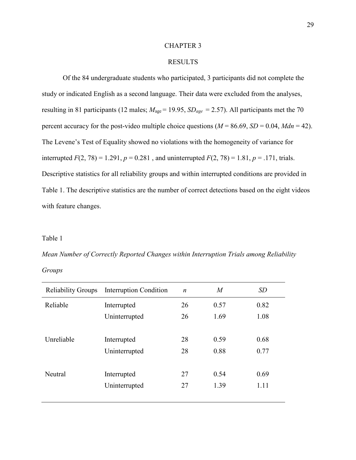### CHAPTER 3

## RESULTS

Of the 84 undergraduate students who participated, 3 participants did not complete the study or indicated English as a second language. Their data were excluded from the analyses, resulting in 81 participants (12 males; *M*age = 19.95, *SDage* = 2.57). All participants met the 70 percent accuracy for the post-video multiple choice questions  $(M = 86.69, SD = 0.04, Mdn = 42)$ . The Levene's Test of Equality showed no violations with the homogeneity of variance for interrupted  $F(2, 78) = 1.291$ ,  $p = 0.281$ , and uninterrupted  $F(2, 78) = 1.81$ ,  $p = .171$ , trials. Descriptive statistics for all reliability groups and within interrupted conditions are provided in Table 1. The descriptive statistics are the number of correct detections based on the eight videos with feature changes.

#### Table 1

*Mean Number of Correctly Reported Changes within Interruption Trials among Reliability Groups* 

| <b>Reliability Groups</b> | <b>Interruption Condition</b> | $\boldsymbol{n}$ | M    | SD   |
|---------------------------|-------------------------------|------------------|------|------|
| Reliable                  | Interrupted                   | 26               | 0.57 | 0.82 |
|                           | Uninterrupted                 | 26               | 1.69 | 1.08 |
|                           |                               |                  |      |      |
| Unreliable                | Interrupted                   | 28               | 0.59 | 0.68 |
|                           | Uninterrupted                 | 28               | 0.88 | 0.77 |
|                           |                               |                  |      |      |
| Neutral                   | Interrupted                   | 27               | 0.54 | 0.69 |
|                           | Uninterrupted                 | 27               | 1.39 | 1.11 |
|                           |                               |                  |      |      |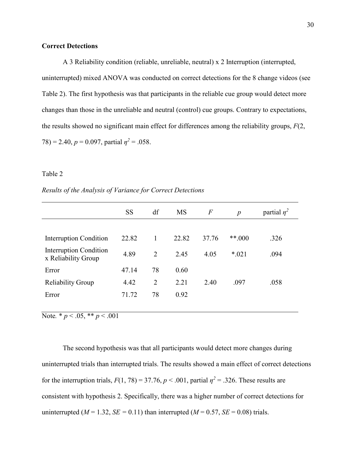## **Correct Detections**

A 3 Reliability condition (reliable, unreliable, neutral) x 2 Interruption (interrupted, uninterrupted) mixed ANOVA was conducted on correct detections for the 8 change videos (see Table 2). The first hypothesis was that participants in the reliable cue group would detect more changes than those in the unreliable and neutral (control) cue groups. Contrary to expectations, the results showed no significant main effect for differences among the reliability groups, *F*(2,  $(78) = 2.40, p = 0.097,$  partial  $\eta^2 = .058$ .

### Table 2

#### *Results of the Analysis of Variance for Correct Detections*

|                                                      | <b>SS</b> | df             | <b>MS</b> | $\overline{F}$ | $\boldsymbol{p}$ | partial $\eta^2$ |
|------------------------------------------------------|-----------|----------------|-----------|----------------|------------------|------------------|
|                                                      |           |                |           |                |                  |                  |
| <b>Interruption Condition</b>                        | 22.82     | 1              | 22.82     | 37.76          | $***.000$        | .326             |
| <b>Interruption Condition</b><br>x Reliability Group | 4.89      | $\overline{2}$ | 2.45      | 4.05           | $*021$           | .094             |
| Error                                                | 47.14     | 78             | 0.60      |                |                  |                  |
| <b>Reliability Group</b>                             | 4.42      | 2              | 2.21      | 2.40           | .097             | .058             |
| Error                                                | 71.72     | 78             | 0.92      |                |                  |                  |
|                                                      |           |                |           |                |                  |                  |

Note.  $* p < .05, ** p < .001$ 

The second hypothesis was that all participants would detect more changes during uninterrupted trials than interrupted trials. The results showed a main effect of correct detections for the interruption trials,  $F(1, 78) = 37.76$ ,  $p < .001$ , partial  $\eta^2 = .326$ . These results are consistent with hypothesis 2. Specifically, there was a higher number of correct detections for uninterrupted ( $M = 1.32$ ,  $SE = 0.11$ ) than interrupted ( $M = 0.57$ ,  $SE = 0.08$ ) trials.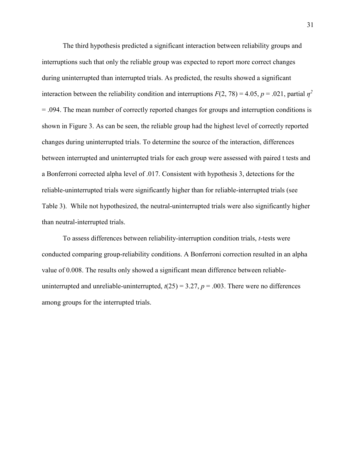The third hypothesis predicted a significant interaction between reliability groups and interruptions such that only the reliable group was expected to report more correct changes during uninterrupted than interrupted trials. As predicted, the results showed a significant interaction between the reliability condition and interruptions  $F(2, 78) = 4.05$ ,  $p = .021$ , partial  $p^2$ = .094. The mean number of correctly reported changes for groups and interruption conditions is shown in Figure 3. As can be seen, the reliable group had the highest level of correctly reported changes during uninterrupted trials. To determine the source of the interaction, differences between interrupted and uninterrupted trials for each group were assessed with paired t tests and a Bonferroni corrected alpha level of .017. Consistent with hypothesis 3, detections for the reliable-uninterrupted trials were significantly higher than for reliable-interrupted trials (see Table 3). While not hypothesized, the neutral-uninterrupted trials were also significantly higher than neutral-interrupted trials.

To assess differences between reliability-interruption condition trials, *t*-tests were conducted comparing group-reliability conditions. A Bonferroni correction resulted in an alpha value of 0.008. The results only showed a significant mean difference between reliableuninterrupted and unreliable-uninterrupted,  $t(25) = 3.27$ ,  $p = .003$ . There were no differences among groups for the interrupted trials.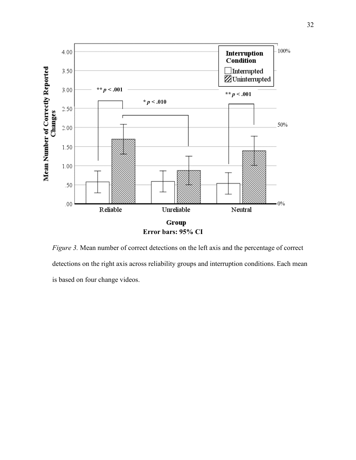

*Figure 3.* Mean number of correct detections on the left axis and the percentage of correct detections on the right axis across reliability groups and interruption conditions. Each mean is based on four change videos.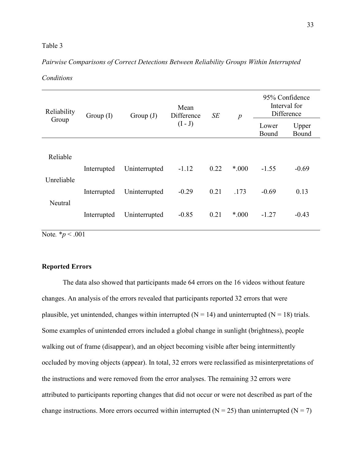## Table 3

## *Pairwise Comparisons of Correct Detections Between Reliability Groups Within Interrupted*

| Conditions |  |
|------------|--|
|            |  |

| Reliability                     | Group(I)    | Group $(J)$   | Mean<br>Difference | SE   | p     | 95% Confidence<br>Interval for<br>Difference |                |
|---------------------------------|-------------|---------------|--------------------|------|-------|----------------------------------------------|----------------|
| Group                           |             |               | $(I - J)$          |      |       | Lower<br>Bound                               | Upper<br>Bound |
| Reliable                        |             |               |                    |      |       |                                              |                |
|                                 | Interrupted | Uninterrupted | $-1.12$            | 0.22 | *.000 | $-1.55$                                      | $-0.69$        |
| Unreliable                      | Interrupted | Uninterrupted | $-0.29$            | 0.21 | .173  | $-0.69$                                      | 0.13           |
| Neutral                         | Interrupted | Uninterrupted | $-0.85$            | 0.21 | *.000 | $-1.27$                                      | $-0.43$        |
| <b>NEW STATE</b><br>$\sim$ 0.01 |             |               |                    |      |       |                                              |                |

Note*.* \**p* < .001

## **Reported Errors**

The data also showed that participants made 64 errors on the 16 videos without feature changes. An analysis of the errors revealed that participants reported 32 errors that were plausible, yet unintended, changes within interrupted ( $N = 14$ ) and uninterrupted ( $N = 18$ ) trials. Some examples of unintended errors included a global change in sunlight (brightness), people walking out of frame (disappear), and an object becoming visible after being intermittently occluded by moving objects (appear). In total, 32 errors were reclassified as misinterpretations of the instructions and were removed from the error analyses. The remaining 32 errors were attributed to participants reporting changes that did not occur or were not described as part of the change instructions. More errors occurred within interrupted ( $N = 25$ ) than uninterrupted ( $N = 7$ )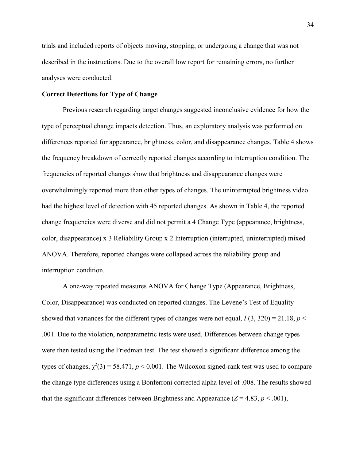trials and included reports of objects moving, stopping, or undergoing a change that was not described in the instructions. Due to the overall low report for remaining errors, no further analyses were conducted.

## **Correct Detections for Type of Change**

Previous research regarding target changes suggested inconclusive evidence for how the type of perceptual change impacts detection. Thus, an exploratory analysis was performed on differences reported for appearance, brightness, color, and disappearance changes. Table 4 shows the frequency breakdown of correctly reported changes according to interruption condition. The frequencies of reported changes show that brightness and disappearance changes were overwhelmingly reported more than other types of changes. The uninterrupted brightness video had the highest level of detection with 45 reported changes. As shown in Table 4, the reported change frequencies were diverse and did not permit a 4 Change Type (appearance, brightness, color, disappearance) x 3 Reliability Group x 2 Interruption (interrupted, uninterrupted) mixed ANOVA. Therefore, reported changes were collapsed across the reliability group and interruption condition.

A one-way repeated measures ANOVA for Change Type (Appearance, Brightness, Color, Disappearance) was conducted on reported changes. The Levene's Test of Equality showed that variances for the different types of changes were not equal,  $F(3, 320) = 21.18$ ,  $p <$ .001. Due to the violation, nonparametric tests were used. Differences between change types were then tested using the Friedman test. The test showed a significant difference among the types of changes,  $\chi^2(3) = 58.471$ ,  $p < 0.001$ . The Wilcoxon signed-rank test was used to compare the change type differences using a Bonferroni corrected alpha level of .008. The results showed that the significant differences between Brightness and Appearance  $(Z = 4.83, p < .001)$ ,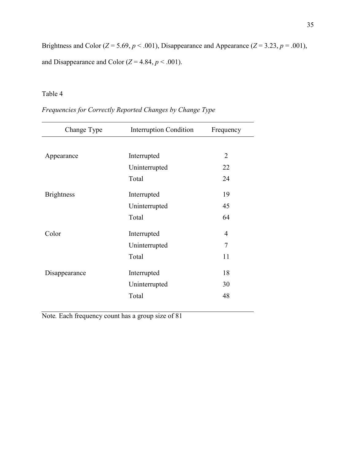Brightness and Color ( $Z = 5.69$ ,  $p < .001$ ), Disappearance and Appearance ( $Z = 3.23$ ,  $p = .001$ ), and Disappearance and Color  $(Z = 4.84, p < .001)$ .

# Table 4

|  | Frequencies for Correctly Reported Changes by Change Type |  |  |  |  |  |  |
|--|-----------------------------------------------------------|--|--|--|--|--|--|
|--|-----------------------------------------------------------|--|--|--|--|--|--|

| Change Type       | <b>Interruption Condition</b> | Frequency      |
|-------------------|-------------------------------|----------------|
|                   |                               |                |
| Appearance        | Interrupted                   | $\overline{2}$ |
|                   | Uninterrupted                 | 22             |
|                   | Total                         | 24             |
| <b>Brightness</b> | Interrupted                   | 19             |
|                   | Uninterrupted                 | 45             |
|                   | Total                         | 64             |
| Color             | Interrupted                   | 4              |
|                   | Uninterrupted                 | 7              |
|                   | Total                         | 11             |
| Disappearance     | Interrupted                   | 18             |
|                   | Uninterrupted                 | 30             |
|                   | Total                         | 48             |

Note*.* Each frequency count has a group size of 81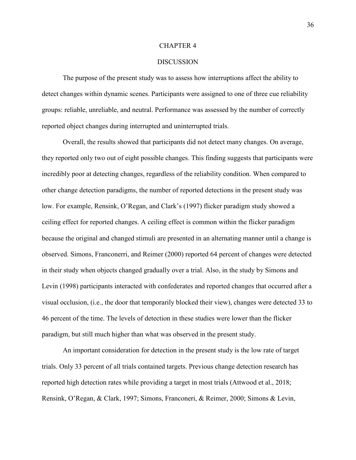### CHAPTER 4

#### **DISCUSSION**

The purpose of the present study was to assess how interruptions affect the ability to detect changes within dynamic scenes. Participants were assigned to one of three cue reliability groups: reliable, unreliable, and neutral. Performance was assessed by the number of correctly reported object changes during interrupted and uninterrupted trials.

Overall, the results showed that participants did not detect many changes. On average, they reported only two out of eight possible changes. This finding suggests that participants were incredibly poor at detecting changes, regardless of the reliability condition. When compared to other change detection paradigms, the number of reported detections in the present study was low. For example, Rensink, O'Regan, and Clark's (1997) flicker paradigm study showed a ceiling effect for reported changes. A ceiling effect is common within the flicker paradigm because the original and changed stimuli are presented in an alternating manner until a change is observed. Simons, Franconerri, and Reimer (2000) reported 64 percent of changes were detected in their study when objects changed gradually over a trial. Also, in the study by Simons and Levin (1998) participants interacted with confederates and reported changes that occurred after a visual occlusion, (i.e., the door that temporarily blocked their view), changes were detected 33 to 46 percent of the time. The levels of detection in these studies were lower than the flicker paradigm, but still much higher than what was observed in the present study.

An important consideration for detection in the present study is the low rate of target trials. Only 33 percent of all trials contained targets. Previous change detection research has reported high detection rates while providing a target in most trials (Attwood et al., 2018; Rensink, O'Regan, & Clark, 1997; Simons, Franconeri, & Reimer, 2000; Simons & Levin,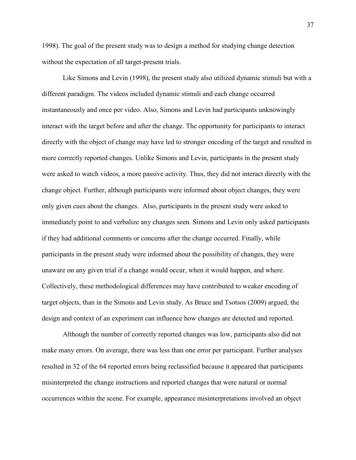1998). The goal of the present study was to design a method for studying change detection without the expectation of all target-present trials.

Like Simons and Levin (1998), the present study also utilized dynamic stimuli but with a different paradigm. The videos included dynamic stimuli and each change occurred instantaneously and once per video. Also, Simons and Levin had participants unknowingly interact with the target before and after the change. The opportunity for participants to interact directly with the object of change may have led to stronger encoding of the target and resulted in more correctly reported changes. Unlike Simons and Levin, participants in the present study were asked to watch videos, a more passive activity. Thus, they did not interact directly with the change object. Further, although participants were informed about object changes, they were only given cues about the changes. Also, participants in the present study were asked to immediately point to and verbalize any changes seen. Simons and Levin only asked participants if they had additional comments or concerns after the change occurred. Finally, while participants in the present study were informed about the possibility of changes, they were unaware on any given trial if a change would occur, when it would happen, and where. Collectively, these methodological differences may have contributed to weaker encoding of target objects, than in the Simons and Levin study. As Bruce and Tsotsos (2009) argued, the design and context of an experiment can influence how changes are detected and reported.

Although the number of correctly reported changes was low, participants also did not make many errors. On average, there was less than one error per participant. Further analyses resulted in 32 of the 64 reported errors being reclassified because it appeared that participants misinterpreted the change instructions and reported changes that were natural or normal occurrences within the scene. For example, appearance misinterpretations involved an object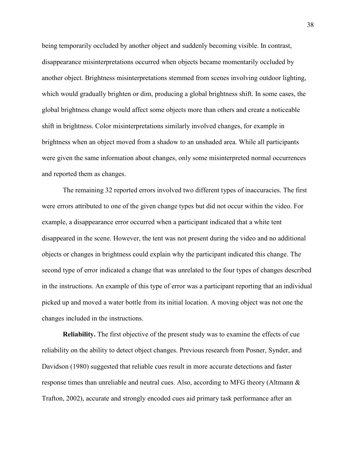being temporarily occluded by another object and suddenly becoming visible. In contrast, disappearance misinterpretations occurred when objects became momentarily occluded by another object. Brightness misinterpretations stemmed from scenes involving outdoor lighting, which would gradually brighten or dim, producing a global brightness shift. In some cases, the global brightness change would affect some objects more than others and create a noticeable shift in brightness. Color misinterpretations similarly involved changes, for example in brightness when an object moved from a shadow to an unshaded area. While all participants were given the same information about changes, only some misinterpreted normal occurrences and reported them as changes.

The remaining 32 reported errors involved two different types of inaccuracies. The first were errors attributed to one of the given change types but did not occur within the video. For example, a disappearance error occurred when a participant indicated that a white tent disappeared in the scene. However, the tent was not present during the video and no additional objects or changes in brightness could explain why the participant indicated this change. The second type of error indicated a change that was unrelated to the four types of changes described in the instructions. An example of this type of error was a participant reporting that an individual picked up and moved a water bottle from its initial location. A moving object was not one the changes included in the instructions.

**Reliability.** The first objective of the present study was to examine the effects of cue reliability on the ability to detect object changes. Previous research from Posner, Synder, and Davidson (1980) suggested that reliable cues result in more accurate detections and faster response times than unreliable and neutral cues. Also, according to MFG theory (Altmann & Trafton, 2002), accurate and strongly encoded cues aid primary task performance after an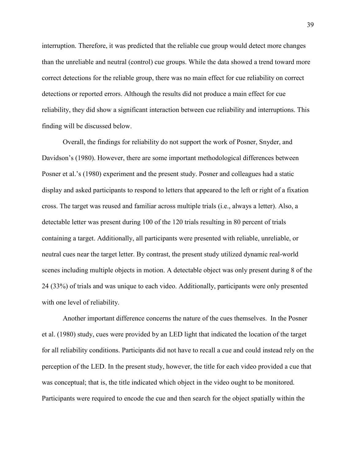interruption. Therefore, it was predicted that the reliable cue group would detect more changes than the unreliable and neutral (control) cue groups. While the data showed a trend toward more correct detections for the reliable group, there was no main effect for cue reliability on correct detections or reported errors. Although the results did not produce a main effect for cue reliability, they did show a significant interaction between cue reliability and interruptions. This finding will be discussed below.

Overall, the findings for reliability do not support the work of Posner, Snyder, and Davidson's (1980). However, there are some important methodological differences between Posner et al.'s (1980) experiment and the present study. Posner and colleagues had a static display and asked participants to respond to letters that appeared to the left or right of a fixation cross. The target was reused and familiar across multiple trials (i.e., always a letter). Also, a detectable letter was present during 100 of the 120 trials resulting in 80 percent of trials containing a target. Additionally, all participants were presented with reliable, unreliable, or neutral cues near the target letter. By contrast, the present study utilized dynamic real-world scenes including multiple objects in motion. A detectable object was only present during 8 of the 24 (33%) of trials and was unique to each video. Additionally, participants were only presented with one level of reliability.

Another important difference concerns the nature of the cues themselves. In the Posner et al. (1980) study, cues were provided by an LED light that indicated the location of the target for all reliability conditions. Participants did not have to recall a cue and could instead rely on the perception of the LED. In the present study, however, the title for each video provided a cue that was conceptual; that is, the title indicated which object in the video ought to be monitored. Participants were required to encode the cue and then search for the object spatially within the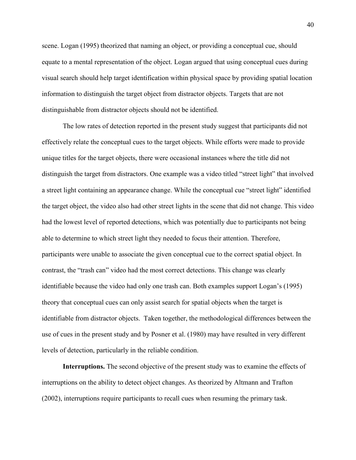scene. Logan (1995) theorized that naming an object, or providing a conceptual cue, should equate to a mental representation of the object. Logan argued that using conceptual cues during visual search should help target identification within physical space by providing spatial location information to distinguish the target object from distractor objects. Targets that are not distinguishable from distractor objects should not be identified.

 The low rates of detection reported in the present study suggest that participants did not effectively relate the conceptual cues to the target objects. While efforts were made to provide unique titles for the target objects, there were occasional instances where the title did not distinguish the target from distractors. One example was a video titled "street light" that involved a street light containing an appearance change. While the conceptual cue "street light" identified the target object, the video also had other street lights in the scene that did not change. This video had the lowest level of reported detections, which was potentially due to participants not being able to determine to which street light they needed to focus their attention. Therefore, participants were unable to associate the given conceptual cue to the correct spatial object. In contrast, the "trash can" video had the most correct detections. This change was clearly identifiable because the video had only one trash can. Both examples support Logan's (1995) theory that conceptual cues can only assist search for spatial objects when the target is identifiable from distractor objects. Taken together, the methodological differences between the use of cues in the present study and by Posner et al. (1980) may have resulted in very different levels of detection, particularly in the reliable condition.

**Interruptions.** The second objective of the present study was to examine the effects of interruptions on the ability to detect object changes. As theorized by Altmann and Trafton (2002), interruptions require participants to recall cues when resuming the primary task.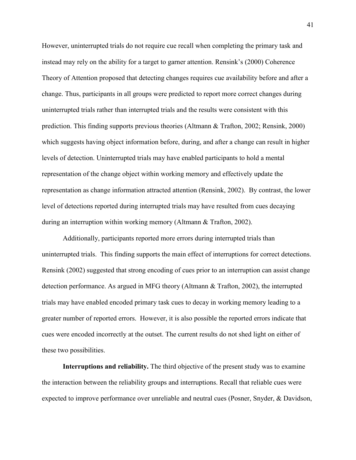However, uninterrupted trials do not require cue recall when completing the primary task and instead may rely on the ability for a target to garner attention. Rensink's (2000) Coherence Theory of Attention proposed that detecting changes requires cue availability before and after a change. Thus, participants in all groups were predicted to report more correct changes during uninterrupted trials rather than interrupted trials and the results were consistent with this prediction. This finding supports previous theories (Altmann & Trafton, 2002; Rensink, 2000) which suggests having object information before, during, and after a change can result in higher levels of detection. Uninterrupted trials may have enabled participants to hold a mental representation of the change object within working memory and effectively update the representation as change information attracted attention (Rensink, 2002). By contrast, the lower level of detections reported during interrupted trials may have resulted from cues decaying during an interruption within working memory (Altmann & Trafton, 2002).

Additionally, participants reported more errors during interrupted trials than uninterrupted trials. This finding supports the main effect of interruptions for correct detections. Rensink (2002) suggested that strong encoding of cues prior to an interruption can assist change detection performance. As argued in MFG theory (Altmann & Trafton, 2002), the interrupted trials may have enabled encoded primary task cues to decay in working memory leading to a greater number of reported errors. However, it is also possible the reported errors indicate that cues were encoded incorrectly at the outset. The current results do not shed light on either of these two possibilities.

**Interruptions and reliability.** The third objective of the present study was to examine the interaction between the reliability groups and interruptions. Recall that reliable cues were expected to improve performance over unreliable and neutral cues (Posner, Snyder, & Davidson,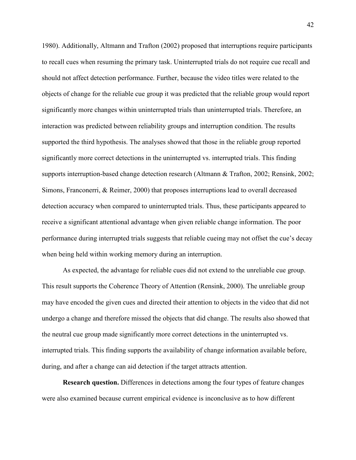1980). Additionally, Altmann and Trafton (2002) proposed that interruptions require participants to recall cues when resuming the primary task. Uninterrupted trials do not require cue recall and should not affect detection performance. Further, because the video titles were related to the objects of change for the reliable cue group it was predicted that the reliable group would report significantly more changes within uninterrupted trials than uninterrupted trials. Therefore, an interaction was predicted between reliability groups and interruption condition. The results supported the third hypothesis. The analyses showed that those in the reliable group reported significantly more correct detections in the uninterrupted vs. interrupted trials. This finding supports interruption-based change detection research (Altmann & Trafton, 2002; Rensink, 2002; Simons, Franconerri, & Reimer, 2000) that proposes interruptions lead to overall decreased detection accuracy when compared to uninterrupted trials. Thus, these participants appeared to receive a significant attentional advantage when given reliable change information. The poor performance during interrupted trials suggests that reliable cueing may not offset the cue's decay when being held within working memory during an interruption.

As expected, the advantage for reliable cues did not extend to the unreliable cue group. This result supports the Coherence Theory of Attention (Rensink, 2000). The unreliable group may have encoded the given cues and directed their attention to objects in the video that did not undergo a change and therefore missed the objects that did change. The results also showed that the neutral cue group made significantly more correct detections in the uninterrupted vs. interrupted trials. This finding supports the availability of change information available before, during, and after a change can aid detection if the target attracts attention.

**Research question.** Differences in detections among the four types of feature changes were also examined because current empirical evidence is inconclusive as to how different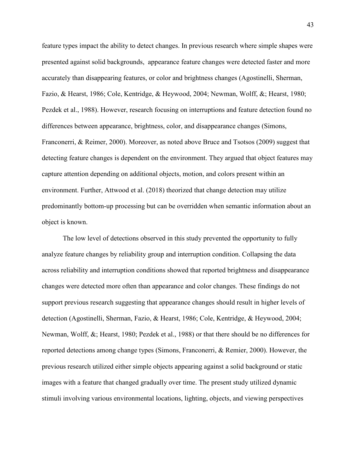feature types impact the ability to detect changes. In previous research where simple shapes were presented against solid backgrounds, appearance feature changes were detected faster and more accurately than disappearing features, or color and brightness changes (Agostinelli, Sherman, Fazio, & Hearst, 1986; Cole, Kentridge, & Heywood, 2004; Newman, Wolff, &; Hearst, 1980; Pezdek et al., 1988). However, research focusing on interruptions and feature detection found no differences between appearance, brightness, color, and disappearance changes (Simons, Franconerri, & Reimer, 2000). Moreover, as noted above Bruce and Tsotsos (2009) suggest that detecting feature changes is dependent on the environment. They argued that object features may capture attention depending on additional objects, motion, and colors present within an environment. Further, Attwood et al. (2018) theorized that change detection may utilize predominantly bottom-up processing but can be overridden when semantic information about an object is known.

The low level of detections observed in this study prevented the opportunity to fully analyze feature changes by reliability group and interruption condition. Collapsing the data across reliability and interruption conditions showed that reported brightness and disappearance changes were detected more often than appearance and color changes. These findings do not support previous research suggesting that appearance changes should result in higher levels of detection (Agostinelli, Sherman, Fazio, & Hearst, 1986; Cole, Kentridge, & Heywood, 2004; Newman, Wolff, &; Hearst, 1980; Pezdek et al., 1988) or that there should be no differences for reported detections among change types (Simons, Franconerri, & Remier, 2000). However, the previous research utilized either simple objects appearing against a solid background or static images with a feature that changed gradually over time. The present study utilized dynamic stimuli involving various environmental locations, lighting, objects, and viewing perspectives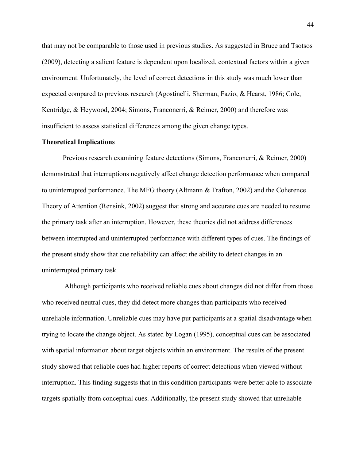that may not be comparable to those used in previous studies. As suggested in Bruce and Tsotsos (2009), detecting a salient feature is dependent upon localized, contextual factors within a given environment. Unfortunately, the level of correct detections in this study was much lower than expected compared to previous research (Agostinelli, Sherman, Fazio, & Hearst, 1986; Cole, Kentridge, & Heywood, 2004; Simons, Franconerri, & Reimer, 2000) and therefore was insufficient to assess statistical differences among the given change types.

## **Theoretical Implications**

Previous research examining feature detections (Simons, Franconerri, & Reimer, 2000) demonstrated that interruptions negatively affect change detection performance when compared to uninterrupted performance. The MFG theory (Altmann & Trafton, 2002) and the Coherence Theory of Attention (Rensink, 2002) suggest that strong and accurate cues are needed to resume the primary task after an interruption. However, these theories did not address differences between interrupted and uninterrupted performance with different types of cues. The findings of the present study show that cue reliability can affect the ability to detect changes in an uninterrupted primary task.

 Although participants who received reliable cues about changes did not differ from those who received neutral cues, they did detect more changes than participants who received unreliable information. Unreliable cues may have put participants at a spatial disadvantage when trying to locate the change object. As stated by Logan (1995), conceptual cues can be associated with spatial information about target objects within an environment. The results of the present study showed that reliable cues had higher reports of correct detections when viewed without interruption. This finding suggests that in this condition participants were better able to associate targets spatially from conceptual cues. Additionally, the present study showed that unreliable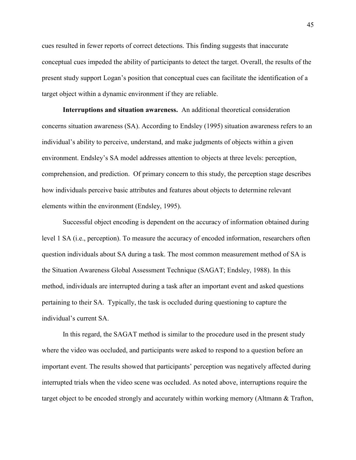cues resulted in fewer reports of correct detections. This finding suggests that inaccurate conceptual cues impeded the ability of participants to detect the target. Overall, the results of the present study support Logan's position that conceptual cues can facilitate the identification of a target object within a dynamic environment if they are reliable.

**Interruptions and situation awareness.** An additional theoretical consideration concerns situation awareness (SA). According to Endsley (1995) situation awareness refers to an individual's ability to perceive, understand, and make judgments of objects within a given environment. Endsley's SA model addresses attention to objects at three levels: perception, comprehension, and prediction. Of primary concern to this study, the perception stage describes how individuals perceive basic attributes and features about objects to determine relevant elements within the environment (Endsley, 1995).

Successful object encoding is dependent on the accuracy of information obtained during level 1 SA (i.e., perception). To measure the accuracy of encoded information, researchers often question individuals about SA during a task. The most common measurement method of SA is the Situation Awareness Global Assessment Technique (SAGAT; Endsley, 1988). In this method, individuals are interrupted during a task after an important event and asked questions pertaining to their SA. Typically, the task is occluded during questioning to capture the individual's current SA.

In this regard, the SAGAT method is similar to the procedure used in the present study where the video was occluded, and participants were asked to respond to a question before an important event. The results showed that participants' perception was negatively affected during interrupted trials when the video scene was occluded. As noted above, interruptions require the target object to be encoded strongly and accurately within working memory (Altmann & Trafton,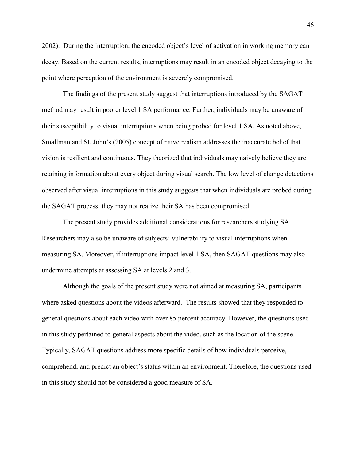2002). During the interruption, the encoded object's level of activation in working memory can decay. Based on the current results, interruptions may result in an encoded object decaying to the point where perception of the environment is severely compromised.

The findings of the present study suggest that interruptions introduced by the SAGAT method may result in poorer level 1 SA performance. Further, individuals may be unaware of their susceptibility to visual interruptions when being probed for level 1 SA. As noted above, Smallman and St. John's (2005) concept of naïve realism addresses the inaccurate belief that vision is resilient and continuous. They theorized that individuals may naively believe they are retaining information about every object during visual search. The low level of change detections observed after visual interruptions in this study suggests that when individuals are probed during the SAGAT process, they may not realize their SA has been compromised.

The present study provides additional considerations for researchers studying SA. Researchers may also be unaware of subjects' vulnerability to visual interruptions when measuring SA. Moreover, if interruptions impact level 1 SA, then SAGAT questions may also undermine attempts at assessing SA at levels 2 and 3.

Although the goals of the present study were not aimed at measuring SA, participants where asked questions about the videos afterward. The results showed that they responded to general questions about each video with over 85 percent accuracy. However, the questions used in this study pertained to general aspects about the video, such as the location of the scene. Typically, SAGAT questions address more specific details of how individuals perceive, comprehend, and predict an object's status within an environment. Therefore, the questions used in this study should not be considered a good measure of SA.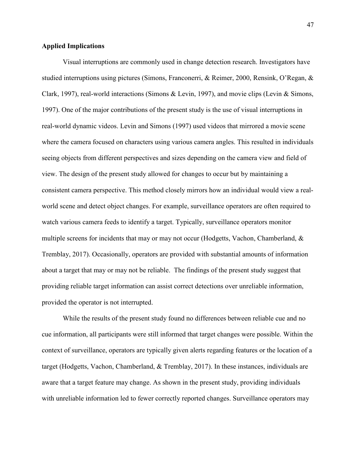## **Applied Implications**

Visual interruptions are commonly used in change detection research. Investigators have studied interruptions using pictures (Simons, Franconerri, & Reimer, 2000, Rensink, O'Regan, & Clark, 1997), real-world interactions (Simons & Levin, 1997), and movie clips (Levin & Simons, 1997). One of the major contributions of the present study is the use of visual interruptions in real-world dynamic videos. Levin and Simons (1997) used videos that mirrored a movie scene where the camera focused on characters using various camera angles. This resulted in individuals seeing objects from different perspectives and sizes depending on the camera view and field of view. The design of the present study allowed for changes to occur but by maintaining a consistent camera perspective. This method closely mirrors how an individual would view a realworld scene and detect object changes. For example, surveillance operators are often required to watch various camera feeds to identify a target. Typically, surveillance operators monitor multiple screens for incidents that may or may not occur (Hodgetts, Vachon, Chamberland, & Tremblay, 2017). Occasionally, operators are provided with substantial amounts of information about a target that may or may not be reliable. The findings of the present study suggest that providing reliable target information can assist correct detections over unreliable information, provided the operator is not interrupted.

While the results of the present study found no differences between reliable cue and no cue information, all participants were still informed that target changes were possible. Within the context of surveillance, operators are typically given alerts regarding features or the location of a target (Hodgetts, Vachon, Chamberland, & Tremblay, 2017). In these instances, individuals are aware that a target feature may change. As shown in the present study, providing individuals with unreliable information led to fewer correctly reported changes. Surveillance operators may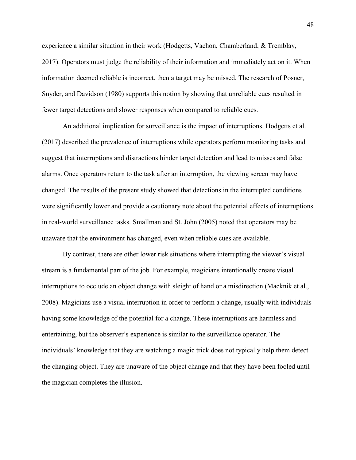experience a similar situation in their work (Hodgetts, Vachon, Chamberland, & Tremblay, 2017). Operators must judge the reliability of their information and immediately act on it. When information deemed reliable is incorrect, then a target may be missed. The research of Posner, Snyder, and Davidson (1980) supports this notion by showing that unreliable cues resulted in fewer target detections and slower responses when compared to reliable cues.

An additional implication for surveillance is the impact of interruptions. Hodgetts et al. (2017) described the prevalence of interruptions while operators perform monitoring tasks and suggest that interruptions and distractions hinder target detection and lead to misses and false alarms. Once operators return to the task after an interruption, the viewing screen may have changed. The results of the present study showed that detections in the interrupted conditions were significantly lower and provide a cautionary note about the potential effects of interruptions in real-world surveillance tasks. Smallman and St. John (2005) noted that operators may be unaware that the environment has changed, even when reliable cues are available.

By contrast, there are other lower risk situations where interrupting the viewer's visual stream is a fundamental part of the job. For example, magicians intentionally create visual interruptions to occlude an object change with sleight of hand or a misdirection (Macknik et al., 2008). Magicians use a visual interruption in order to perform a change, usually with individuals having some knowledge of the potential for a change. These interruptions are harmless and entertaining, but the observer's experience is similar to the surveillance operator. The individuals' knowledge that they are watching a magic trick does not typically help them detect the changing object. They are unaware of the object change and that they have been fooled until the magician completes the illusion.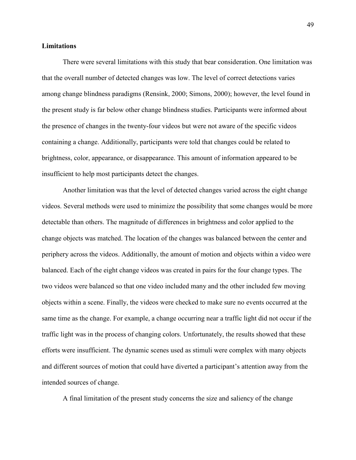#### **Limitations**

There were several limitations with this study that bear consideration. One limitation was that the overall number of detected changes was low. The level of correct detections varies among change blindness paradigms (Rensink, 2000; Simons, 2000); however, the level found in the present study is far below other change blindness studies. Participants were informed about the presence of changes in the twenty-four videos but were not aware of the specific videos containing a change. Additionally, participants were told that changes could be related to brightness, color, appearance, or disappearance. This amount of information appeared to be insufficient to help most participants detect the changes.

Another limitation was that the level of detected changes varied across the eight change videos. Several methods were used to minimize the possibility that some changes would be more detectable than others. The magnitude of differences in brightness and color applied to the change objects was matched. The location of the changes was balanced between the center and periphery across the videos. Additionally, the amount of motion and objects within a video were balanced. Each of the eight change videos was created in pairs for the four change types. The two videos were balanced so that one video included many and the other included few moving objects within a scene. Finally, the videos were checked to make sure no events occurred at the same time as the change. For example, a change occurring near a traffic light did not occur if the traffic light was in the process of changing colors. Unfortunately, the results showed that these efforts were insufficient. The dynamic scenes used as stimuli were complex with many objects and different sources of motion that could have diverted a participant's attention away from the intended sources of change.

A final limitation of the present study concerns the size and saliency of the change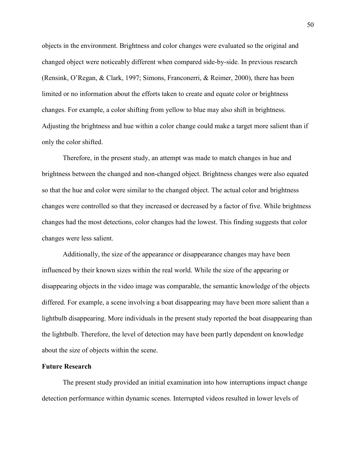objects in the environment. Brightness and color changes were evaluated so the original and changed object were noticeably different when compared side-by-side. In previous research (Rensink, O'Regan, & Clark, 1997; Simons, Franconerri, & Reimer, 2000), there has been limited or no information about the efforts taken to create and equate color or brightness changes. For example, a color shifting from yellow to blue may also shift in brightness. Adjusting the brightness and hue within a color change could make a target more salient than if only the color shifted.

Therefore, in the present study, an attempt was made to match changes in hue and brightness between the changed and non-changed object. Brightness changes were also equated so that the hue and color were similar to the changed object. The actual color and brightness changes were controlled so that they increased or decreased by a factor of five. While brightness changes had the most detections, color changes had the lowest. This finding suggests that color changes were less salient.

Additionally, the size of the appearance or disappearance changes may have been influenced by their known sizes within the real world. While the size of the appearing or disappearing objects in the video image was comparable, the semantic knowledge of the objects differed. For example, a scene involving a boat disappearing may have been more salient than a lightbulb disappearing. More individuals in the present study reported the boat disappearing than the lightbulb. Therefore, the level of detection may have been partly dependent on knowledge about the size of objects within the scene.

#### **Future Research**

The present study provided an initial examination into how interruptions impact change detection performance within dynamic scenes. Interrupted videos resulted in lower levels of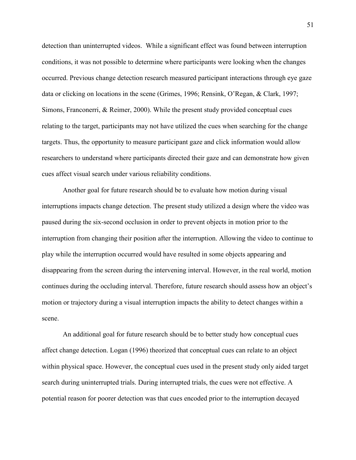detection than uninterrupted videos. While a significant effect was found between interruption conditions, it was not possible to determine where participants were looking when the changes occurred. Previous change detection research measured participant interactions through eye gaze data or clicking on locations in the scene (Grimes, 1996; Rensink, O'Regan, & Clark, 1997; Simons, Franconerri, & Reimer, 2000). While the present study provided conceptual cues relating to the target, participants may not have utilized the cues when searching for the change targets. Thus, the opportunity to measure participant gaze and click information would allow researchers to understand where participants directed their gaze and can demonstrate how given cues affect visual search under various reliability conditions.

Another goal for future research should be to evaluate how motion during visual interruptions impacts change detection. The present study utilized a design where the video was paused during the six-second occlusion in order to prevent objects in motion prior to the interruption from changing their position after the interruption. Allowing the video to continue to play while the interruption occurred would have resulted in some objects appearing and disappearing from the screen during the intervening interval. However, in the real world, motion continues during the occluding interval. Therefore, future research should assess how an object's motion or trajectory during a visual interruption impacts the ability to detect changes within a scene.

An additional goal for future research should be to better study how conceptual cues affect change detection. Logan (1996) theorized that conceptual cues can relate to an object within physical space. However, the conceptual cues used in the present study only aided target search during uninterrupted trials. During interrupted trials, the cues were not effective. A potential reason for poorer detection was that cues encoded prior to the interruption decayed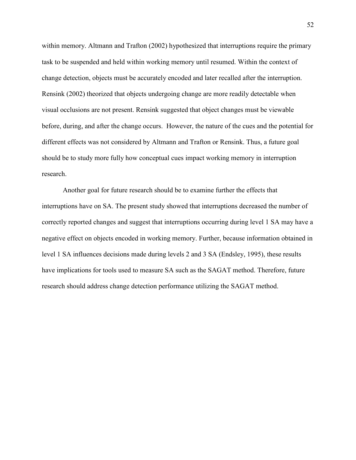within memory. Altmann and Trafton (2002) hypothesized that interruptions require the primary task to be suspended and held within working memory until resumed. Within the context of change detection, objects must be accurately encoded and later recalled after the interruption. Rensink (2002) theorized that objects undergoing change are more readily detectable when visual occlusions are not present. Rensink suggested that object changes must be viewable before, during, and after the change occurs. However, the nature of the cues and the potential for different effects was not considered by Altmann and Trafton or Rensink. Thus, a future goal should be to study more fully how conceptual cues impact working memory in interruption research.

Another goal for future research should be to examine further the effects that interruptions have on SA. The present study showed that interruptions decreased the number of correctly reported changes and suggest that interruptions occurring during level 1 SA may have a negative effect on objects encoded in working memory. Further, because information obtained in level 1 SA influences decisions made during levels 2 and 3 SA (Endsley, 1995), these results have implications for tools used to measure SA such as the SAGAT method. Therefore, future research should address change detection performance utilizing the SAGAT method.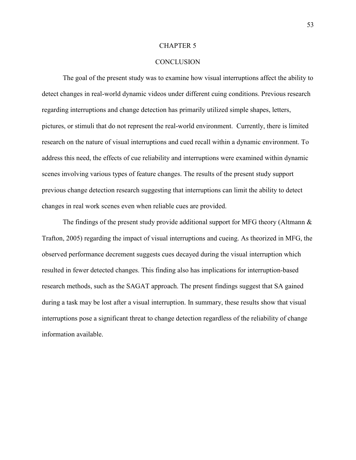#### CHAPTER 5

## **CONCLUSION**

The goal of the present study was to examine how visual interruptions affect the ability to detect changes in real-world dynamic videos under different cuing conditions. Previous research regarding interruptions and change detection has primarily utilized simple shapes, letters, pictures, or stimuli that do not represent the real-world environment. Currently, there is limited research on the nature of visual interruptions and cued recall within a dynamic environment. To address this need, the effects of cue reliability and interruptions were examined within dynamic scenes involving various types of feature changes. The results of the present study support previous change detection research suggesting that interruptions can limit the ability to detect changes in real work scenes even when reliable cues are provided.

The findings of the present study provide additional support for MFG theory (Altmann  $\&$ Trafton, 2005) regarding the impact of visual interruptions and cueing. As theorized in MFG, the observed performance decrement suggests cues decayed during the visual interruption which resulted in fewer detected changes. This finding also has implications for interruption-based research methods, such as the SAGAT approach. The present findings suggest that SA gained during a task may be lost after a visual interruption. In summary, these results show that visual interruptions pose a significant threat to change detection regardless of the reliability of change information available.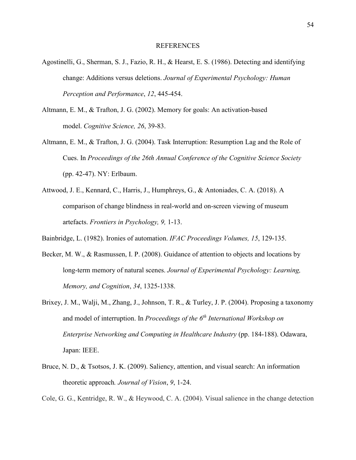#### REFERENCES

- Agostinelli, G., Sherman, S. J., Fazio, R. H., & Hearst, E. S. (1986). Detecting and identifying change: Additions versus deletions. *Journal of Experimental Psychology: Human Perception and Performance*, *12*, 445-454.
- Altmann, E. M., & Trafton, J. G. (2002). Memory for goals: An activation-based model. *Cognitive Science, 26*, 39-83.
- Altmann, E. M., & Trafton, J. G. (2004). Task Interruption: Resumption Lag and the Role of Cues. In *Proceedings of the 26th Annual Conference of the Cognitive Science Society*  (pp. 42-47). NY: Erlbaum.
- Attwood, J. E., Kennard, C., Harris, J., Humphreys, G., & Antoniades, C. A. (2018). A comparison of change blindness in real-world and on-screen viewing of museum artefacts. *Frontiers in Psychology, 9,* 1-13.
- Bainbridge, L. (1982). Ironies of automation. *IFAC Proceedings Volumes, 15*, 129-135.
- Becker, M. W., & Rasmussen, I. P. (2008). Guidance of attention to objects and locations by long-term memory of natural scenes. *Journal of Experimental Psychology: Learning, Memory, and Cognition*, *34*, 1325-1338.
- Brixey, J. M., Walji, M., Zhang, J., Johnson, T. R., & Turley, J. P. (2004). Proposing a taxonomy and model of interruption. In *Proceedings of the 6th International Workshop on Enterprise Networking and Computing in Healthcare Industry* (pp. 184-188). Odawara, Japan: IEEE.
- Bruce, N. D., & Tsotsos, J. K. (2009). Saliency, attention, and visual search: An information theoretic approach*. Journal of Vision*, *9*, 1-24.

Cole, G. G., Kentridge, R. W., & Heywood, C. A. (2004). Visual salience in the change detection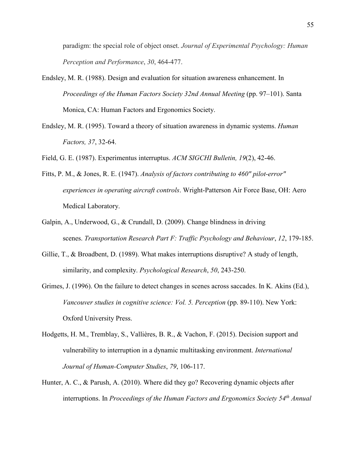paradigm: the special role of object onset. *Journal of Experimental Psychology: Human Perception and Performance*, *30*, 464-477.

- Endsley, M. R. (1988). Design and evaluation for situation awareness enhancement. In *Proceedings of the Human Factors Society 32nd Annual Meeting* (pp. 97–101). Santa Monica, CA: Human Factors and Ergonomics Society.
- Endsley, M. R. (1995). Toward a theory of situation awareness in dynamic systems. *Human Factors, 37*, 32-64.
- Field, G. E. (1987). Experimentus interruptus. *ACM SIGCHI Bulletin, 19*(2), 42-46.
- Fitts, P. M., & Jones, R. E. (1947). *Analysis of factors contributing to 460" pilot-error" experiences in operating aircraft controls*. Wright-Patterson Air Force Base, OH: Aero Medical Laboratory.
- Galpin, A., Underwood, G., & Crundall, D. (2009). Change blindness in driving scenes. *Transportation Research Part F: Traffic Psychology and Behaviour*, *12*, 179-185.
- Gillie, T., & Broadbent, D. (1989). What makes interruptions disruptive? A study of length, similarity, and complexity. *Psychological Research*, *50*, 243-250.
- Grimes, J. (1996). On the failure to detect changes in scenes across saccades. In K. Akins (Ed.), *Vancouver studies in cognitive science: Vol. 5. Perception* (pp. 89-110). New York: Oxford University Press.
- Hodgetts, H. M., Tremblay, S., Vallières, B. R., & Vachon, F. (2015). Decision support and vulnerability to interruption in a dynamic multitasking environment. *International Journal of Human-Computer Studies*, *79*, 106-117.
- Hunter, A. C., & Parush, A. (2010). Where did they go? Recovering dynamic objects after interruptions. In *Proceedings of the Human Factors and Ergonomics Society 54th Annual*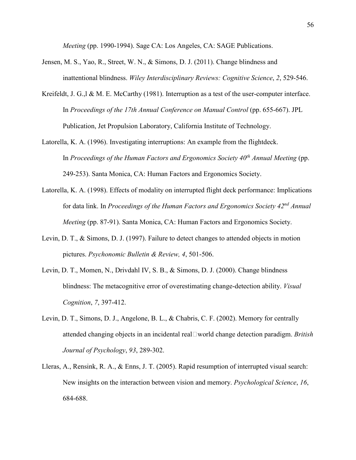*Meeting* (pp. 1990-1994). Sage CA: Los Angeles, CA: SAGE Publications.

- Jensen, M. S., Yao, R., Street, W. N., & Simons, D. J. (2011). Change blindness and inattentional blindness. *Wiley Interdisciplinary Reviews: Cognitive Science*, *2*, 529-546.
- Kreifeldt, J. G., 1 & M. E. McCarthy (1981). Interruption as a test of the user-computer interface. In *Proceedings of the 17th Annual Conference on Manual Control* (pp. 655-667). JPL Publication, Jet Propulsion Laboratory, California Institute of Technology.
- Latorella, K. A. (1996). Investigating interruptions: An example from the flightdeck. In *Proceedings of the Human Factors and Ergonomics Society 40th Annual Meeting* (pp. 249-253). Santa Monica, CA: Human Factors and Ergonomics Society.
- Latorella, K. A. (1998). Effects of modality on interrupted flight deck performance: Implications for data link. In *Proceedings of the Human Factors and Ergonomics Society 42nd Annual Meeting* (pp. 87-91). Santa Monica, CA: Human Factors and Ergonomics Society.
- Levin, D. T., & Simons, D. J. (1997). Failure to detect changes to attended objects in motion pictures. *Psychonomic Bulletin & Review, 4*, 501-506.
- Levin, D. T., Momen, N., Drivdahl IV, S. B., & Simons, D. J. (2000). Change blindness blindness: The metacognitive error of overestimating change-detection ability. *Visual Cognition*, *7*, 397-412.
- Levin, D. T., Simons, D. J., Angelone, B. L., & Chabris, C. F. (2002). Memory for centrally attended changing objects in an incidental real‐world change detection paradigm. *British Journal of Psychology*, *93*, 289-302.
- Lleras, A., Rensink, R. A., & Enns, J. T. (2005). Rapid resumption of interrupted visual search: New insights on the interaction between vision and memory. *Psychological Science*, *16*, 684-688.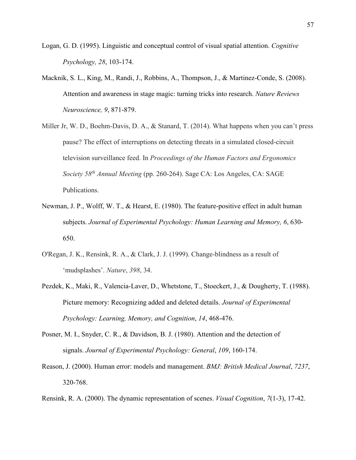- Logan, G. D. (1995). Linguistic and conceptual control of visual spatial attention. *Cognitive Psychology, 28*, 103-174.
- Macknik, S. L., King, M., Randi, J., Robbins, A., Thompson, J., & Martinez-Conde, S. (2008). Attention and awareness in stage magic: turning tricks into research. *Nature Reviews Neuroscience, 9*, 871-879.
- Miller Jr, W. D., Boehm-Davis, D. A., & Stanard, T. (2014). What happens when you can't press pause? The effect of interruptions on detecting threats in a simulated closed-circuit television surveillance feed. In *Proceedings of the Human Factors and Ergonomics Society 58th Annual Meeting* (pp. 260-264). Sage CA: Los Angeles, CA: SAGE Publications.
- Newman, J. P., Wolff, W. T., & Hearst, E. (1980). The feature-positive effect in adult human subjects. *Journal of Experimental Psychology: Human Learning and Memory, 6*, 630- 650.
- O'Regan, J. K., Rensink, R. A., & Clark, J. J. (1999). Change-blindness as a result of 'mudsplashes'. *Nature*, *398*, 34.
- Pezdek, K., Maki, R., Valencia-Laver, D., Whetstone, T., Stoeckert, J., & Dougherty, T. (1988). Picture memory: Recognizing added and deleted details. *Journal of Experimental Psychology: Learning, Memory, and Cognition*, *14*, 468-476.
- Posner, M. I., Snyder, C. R., & Davidson, B. J. (1980). Attention and the detection of signals. *Journal of Experimental Psychology: General*, *109*, 160-174.
- Reason, J. (2000). Human error: models and management. *BMJ: British Medical Journal*, *7237*, 320-768.

Rensink, R. A. (2000). The dynamic representation of scenes. *Visual Cognition*, *7*(1-3), 17-42.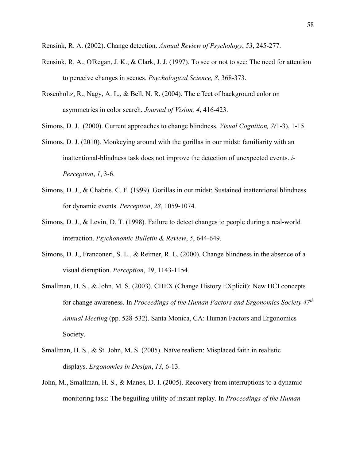Rensink, R. A. (2002). Change detection. *Annual Review of Psychology*, *53*, 245-277.

- Rensink, R. A., O'Regan, J. K., & Clark, J. J. (1997). To see or not to see: The need for attention to perceive changes in scenes. *Psychological Science, 8*, 368-373.
- Rosenholtz, R., Nagy, A. L., & Bell, N. R. (2004). The effect of background color on asymmetries in color search. *Journal of Vision, 4*, 416-423.

Simons, D. J. (2000). Current approaches to change blindness. *Visual Cognition, 7(*1-3), 1-15.

- Simons, D. J. (2010). Monkeying around with the gorillas in our midst: familiarity with an inattentional-blindness task does not improve the detection of unexpected events. *i-Perception*, *1*, 3-6.
- Simons, D. J., & Chabris, C. F. (1999). Gorillas in our midst: Sustained inattentional blindness for dynamic events. *Perception*, *28*, 1059-1074.
- Simons, D. J., & Levin, D. T. (1998). Failure to detect changes to people during a real-world interaction. *Psychonomic Bulletin & Review*, *5*, 644-649.
- Simons, D. J., Franconeri, S. L., & Reimer, R. L. (2000). Change blindness in the absence of a visual disruption. *Perception*, *29*, 1143-1154.
- Smallman, H. S., & John, M. S. (2003). CHEX (Change History EXplicit): New HCI concepts for change awareness. In *Proceedings of the Human Factors and Ergonomics Society 47th Annual Meeting* (pp. 528-532). Santa Monica, CA: Human Factors and Ergonomics Society.
- Smallman, H. S., & St. John, M. S. (2005). Naïve realism: Misplaced faith in realistic displays. *Ergonomics in Design*, *13*, 6-13.
- John, M., Smallman, H. S., & Manes, D. I. (2005). Recovery from interruptions to a dynamic monitoring task: The beguiling utility of instant replay. In *Proceedings of the Human*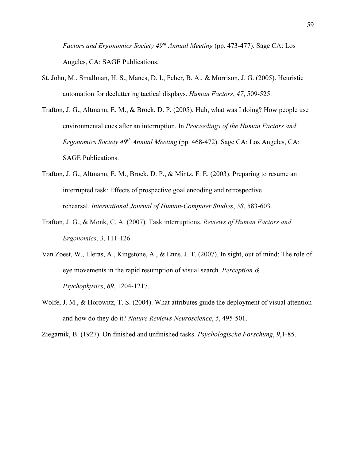*Factors and Ergonomics Society 49th Annual Meeting* (pp. 473-477). Sage CA: Los Angeles, CA: SAGE Publications.

- St. John, M., Smallman, H. S., Manes, D. I., Feher, B. A., & Morrison, J. G. (2005). Heuristic automation for decluttering tactical displays. *Human Factors*, *47*, 509-525.
- Trafton, J. G., Altmann, E. M., & Brock, D. P. (2005). Huh, what was I doing? How people use environmental cues after an interruption. In *Proceedings of the Human Factors and Ergonomics Society 49th Annual Meeting* (pp. 468-472). Sage CA: Los Angeles, CA: SAGE Publications.
- Trafton, J. G., Altmann, E. M., Brock, D. P., & Mintz, F. E. (2003). Preparing to resume an interrupted task: Effects of prospective goal encoding and retrospective rehearsal. *International Journal of Human-Computer Studies*, *58*, 583-603.
- Trafton, J. G., & Monk, C. A. (2007). Task interruptions. *Reviews of Human Factors and Ergonomics*, *3*, 111-126.
- Van Zoest, W., Lleras, A., Kingstone, A., & Enns, J. T. (2007). In sight, out of mind: The role of eye movements in the rapid resumption of visual search. *Perception & Psychophysics*, *69*, 1204-1217.
- Wolfe, J. M., & Horowitz, T. S. (2004). What attributes guide the deployment of visual attention and how do they do it? *Nature Reviews Neuroscience*, *5*, 495-501.

Ziegarnik, B. (1927). On finished and unfinished tasks. *Psychologische Forschung*, *9*,1-85.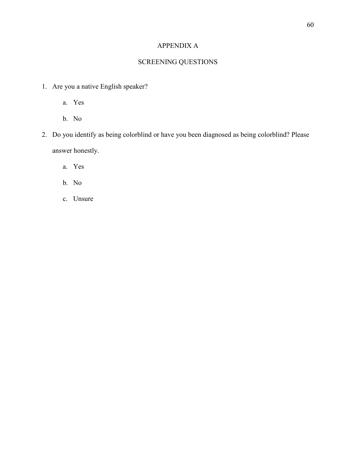# APPENDIX A

# SCREENING QUESTIONS

- 1. Are you a native English speaker?
	- a. Yes
	- b. No
- 2. Do you identify as being colorblind or have you been diagnosed as being colorblind? Please answer honestly.
	- a. Yes
	- b. No
	- c. Unsure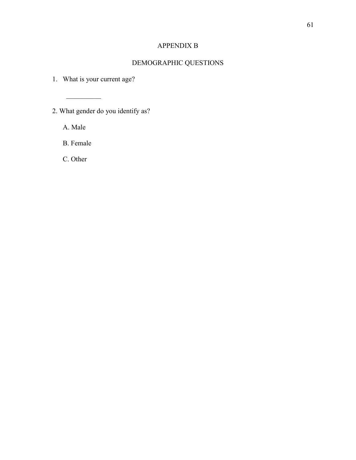# APPENDIX B

# DEMOGRAPHIC QUESTIONS

1. What is your current age?

2. What gender do you identify as?

A. Male

 $\frac{1}{2}$ 

B. Female

C. Other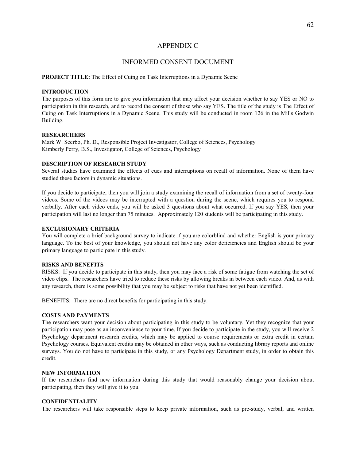#### APPENDIX C

#### INFORMED CONSENT DOCUMENT

#### **PROJECT TITLE:** The Effect of Cuing on Task Interruptions in a Dynamic Scene

#### **INTRODUCTION**

The purposes of this form are to give you information that may affect your decision whether to say YES or NO to participation in this research, and to record the consent of those who say YES. The title of the study is The Effect of Cuing on Task Interruptions in a Dynamic Scene. This study will be conducted in room 126 in the Mills Godwin Building.

#### **RESEARCHERS**

Mark W. Scerbo, Ph. D., Responsible Project Investigator, College of Sciences, Psychology Kimberly Perry, B.S., Investigator, College of Sciences, Psychology

#### **DESCRIPTION OF RESEARCH STUDY**

Several studies have examined the effects of cues and interruptions on recall of information. None of them have studied these factors in dynamic situations.

If you decide to participate, then you will join a study examining the recall of information from a set of twenty-four videos. Some of the videos may be interrupted with a question during the scene, which requires you to respond verbally. After each video ends, you will be asked 3 questions about what occurred. If you say YES, then your participation will last no longer than 75 minutes. Approximately 120 students will be participating in this study.

#### **EXCLUSIONARY CRITERIA**

You will complete a brief background survey to indicate if you are colorblind and whether English is your primary language. To the best of your knowledge, you should not have any color deficiencies and English should be your primary language to participate in this study.

#### **RISKS AND BENEFITS**

RISKS: If you decide to participate in this study, then you may face a risk of some fatigue from watching the set of video clips. The researchers have tried to reduce these risks by allowing breaks in between each video. And, as with any research, there is some possibility that you may be subject to risks that have not yet been identified.

BENEFITS: There are no direct benefits for participating in this study.

#### **COSTS AND PAYMENTS**

The researchers want your decision about participating in this study to be voluntary. Yet they recognize that your participation may pose as an inconvenience to your time. If you decide to participate in the study, you will receive 2 Psychology department research credits, which may be applied to course requirements or extra credit in certain Psychology courses. Equivalent credits may be obtained in other ways, such as conducting library reports and online surveys. You do not have to participate in this study, or any Psychology Department study, in order to obtain this credit.

#### **NEW INFORMATION**

If the researchers find new information during this study that would reasonably change your decision about participating, then they will give it to you.

#### **CONFIDENTIALITY**

The researchers will take responsible steps to keep private information, such as pre-study, verbal, and written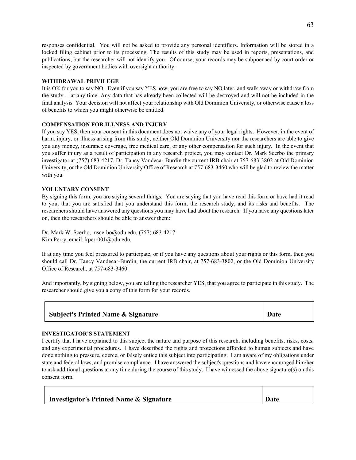responses confidential. You will not be asked to provide any personal identifiers. Information will be stored in a locked filing cabinet prior to its processing. The results of this study may be used in reports, presentations, and publications; but the researcher will not identify you. Of course, your records may be subpoenaed by court order or inspected by government bodies with oversight authority.

#### **WITHDRAWAL PRIVILEGE**

It is OK for you to say NO. Even if you say YES now, you are free to say NO later, and walk away or withdraw from the study -- at any time. Any data that has already been collected will be destroyed and will not be included in the final analysis. Your decision will not affect your relationship with Old Dominion University, or otherwise cause a loss of benefits to which you might otherwise be entitled.

#### **COMPENSATION FOR ILLNESS AND INJURY**

If you say YES, then your consent in this document does not waive any of your legal rights. However, in the event of harm, injury, or illness arising from this study, neither Old Dominion University nor the researchers are able to give you any money, insurance coverage, free medical care, or any other compensation for such injury. In the event that you suffer injury as a result of participation in any research project, you may contact Dr. Mark Scerbo the primary investigator at (757) 683-4217, Dr. Tancy Vandecar-Burdin the current IRB chair at 757-683-3802 at Old Dominion University, or the Old Dominion University Office of Research at 757-683-3460 who will be glad to review the matter with you.

#### **VOLUNTARY CONSENT**

By signing this form, you are saying several things. You are saying that you have read this form or have had it read to you, that you are satisfied that you understand this form, the research study, and its risks and benefits. The researchers should have answered any questions you may have had about the research. If you have any questions later on, then the researchers should be able to answer them:

Dr. Mark W. Scerbo, mscerbo@odu.edu, (757) 683-4217 Kim Perry, email: kperr001@odu.edu.

If at any time you feel pressured to participate, or if you have any questions about your rights or this form, then you should call Dr. Tancy Vandecar-Burdin, the current IRB chair, at 757-683-3802, or the Old Dominion University Office of Research, at 757-683-3460.

And importantly, by signing below, you are telling the researcher YES, that you agree to participate in this study. The researcher should give you a copy of this form for your records.

#### **INVESTIGATOR'S STATEMENT**

Г

I certify that I have explained to this subject the nature and purpose of this research, including benefits, risks, costs, and any experimental procedures. I have described the rights and protections afforded to human subjects and have done nothing to pressure, coerce, or falsely entice this subject into participating. I am aware of my obligations under state and federal laws, and promise compliance. I have answered the subject's questions and have encouraged him/her to ask additional questions at any time during the course of this study. I have witnessed the above signature(s) on this consent form.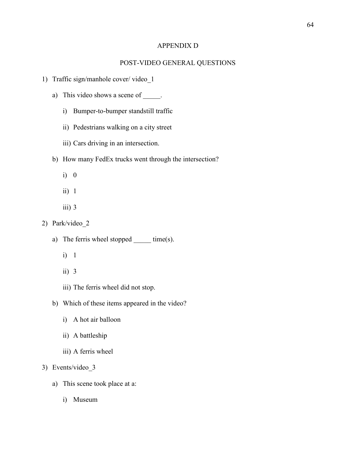#### APPENDIX D

#### POST-VIDEO GENERAL QUESTIONS

- 1) Traffic sign/manhole cover/ video\_1
	- a) This video shows a scene of \_\_\_\_\_.
		- i) Bumper-to-bumper standstill traffic
		- ii) Pedestrians walking on a city street
		- iii) Cars driving in an intersection.
	- b) How many FedEx trucks went through the intersection?
		- i) 0
		- ii) 1
		- iii) 3
- 2) Park/video\_2
	- a) The ferris wheel stopped \_\_\_\_\_\_ time(s).
		- i) 1
		- ii) 3
		- iii) The ferris wheel did not stop.
	- b) Which of these items appeared in the video?
		- i) A hot air balloon
		- ii) A battleship
		- iii) A ferris wheel

### 3) Events/video\_3

- a) This scene took place at a:
	- i) Museum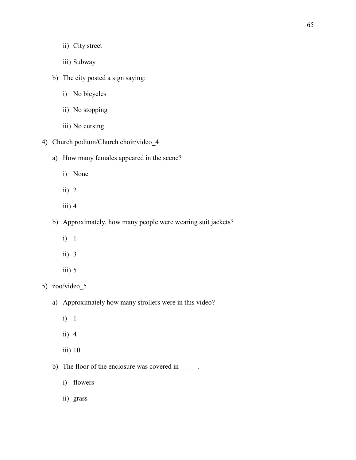- ii) City street
- iii) Subway
- b) The city posted a sign saying:
	- i) No bicycles
	- ii) No stopping
	- iii) No cursing
- 4) Church podium/Church choir/video\_4
	- a) How many females appeared in the scene?
		- i) None
		- ii)  $2$
		- iii)  $4$
	- b) Approximately, how many people were wearing suit jackets?
		- i) 1
		- ii) 3
		- $iii) 5$

# 5) zoo/video\_5

- a) Approximately how many strollers were in this video?
	- i) 1
	- ii) 4
	- iii) 10
- b) The floor of the enclosure was covered in \_\_\_\_\_.
	- i) flowers
	- ii) grass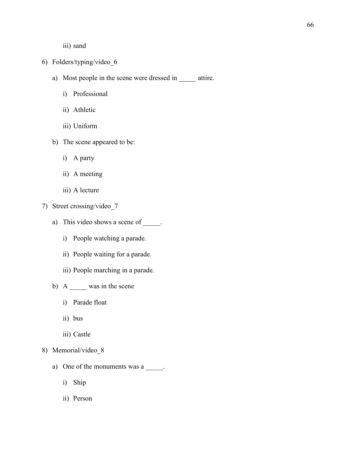iii) sand

- 6) Folders/typing/video\_6
	- a) Most people in the scene were dressed in \_\_\_\_\_ attire.
		- i) Professional
		- ii) Athletic
		- iii) Uniform
	- b) The scene appeared to be:
		- i) A party
		- ii) A meeting
		- iii) A lecture
- 7) Street crossing/video\_7
	- a) This video shows a scene of  $\_\_\_\_\$ .
		- i) People watching a parade.
		- ii) People waiting for a parade.
		- iii) People marching in a parade.
	- b) A \_\_\_\_\_ was in the scene
		- i) Parade float
		- ii) bus
		- iii) Castle
- 8) Memorial/video\_8
	- a) One of the monuments was a \_\_\_\_\_.
		- i) Ship
		- ii) Person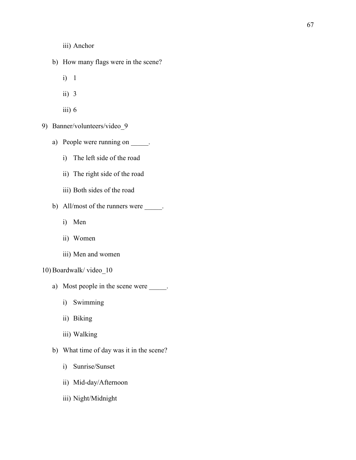- iii) Anchor
- b) How many flags were in the scene?
	- i) 1
	- ii) 3
	- iii)  $6$
- 9) Banner/volunteers/video\_9
	- a) People were running on \_\_\_\_\_.
		- i) The left side of the road
		- ii) The right side of the road
		- iii) Both sides of the road
	- b) All/most of the runners were \_\_\_\_\_\_.
		- i) Men
		- ii) Women
		- iii) Men and women
- 10) Boardwalk/ video\_10
	- a) Most people in the scene were \_\_\_\_\_\_.
		- i) Swimming
		- ii) Biking
		- iii) Walking
	- b) What time of day was it in the scene?
		- i) Sunrise/Sunset
		- ii) Mid-day/Afternoon
		- iii) Night/Midnight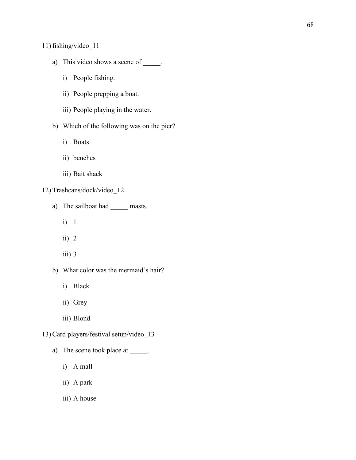11) fishing/video\_11

- a) This video shows a scene of \_\_\_\_\_.
	- i) People fishing.
	- ii) People prepping a boat.
	- iii) People playing in the water.
- b) Which of the following was on the pier?
	- i) Boats
	- ii) benches
	- iii) Bait shack

#### 12) Trashcans/dock/video\_12

- a) The sailboat had \_\_\_\_\_\_ masts.
	- i) 1
	- ii)  $2$
	- iii) 3
- b) What color was the mermaid's hair?
	- i) Black
	- ii) Grey
	- iii) Blond
- 13) Card players/festival setup/video\_13
	- a) The scene took place at \_\_\_\_\_.
		- i) A mall
		- ii) A park
		- iii) A house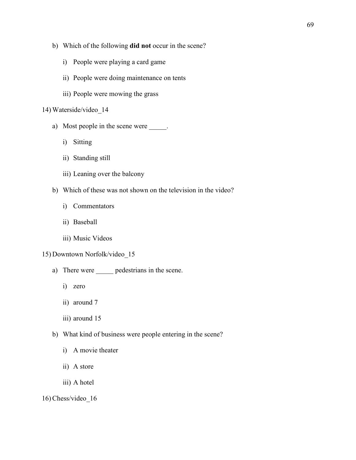- b) Which of the following **did not** occur in the scene?
	- i) People were playing a card game
	- ii) People were doing maintenance on tents
	- iii) People were mowing the grass

### 14) Waterside/video\_14

- a) Most people in the scene were \_\_\_\_\_.
	- i) Sitting
	- ii) Standing still
	- iii) Leaning over the balcony
- b) Which of these was not shown on the television in the video?
	- i) Commentators
	- ii) Baseball
	- iii) Music Videos

#### 15) Downtown Norfolk/video\_15

- a) There were **\_\_\_\_\_** pedestrians in the scene.
	- i) zero
	- ii) around 7
	- iii) around 15
- b) What kind of business were people entering in the scene?
	- i) A movie theater
	- ii) A store
	- iii) A hotel

#### 16) Chess/video\_16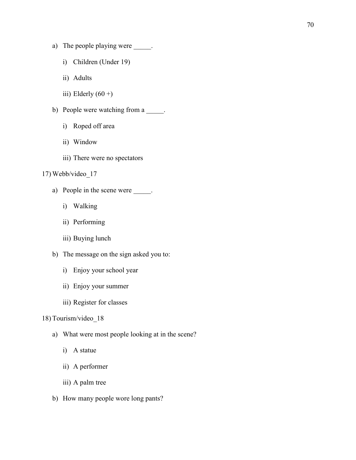- a) The people playing were \_\_\_\_\_.
	- i) Children (Under 19)
	- ii) Adults
	- iii) Elderly  $(60 +)$
- b) People were watching from a \_\_\_\_\_.
	- i) Roped off area
	- ii) Window
	- iii) There were no spectators

### 17) Webb/video\_17

- a) People in the scene were \_\_\_\_\_\_.
	- i) Walking
	- ii) Performing
	- iii) Buying lunch
- b) The message on the sign asked you to:
	- i) Enjoy your school year
	- ii) Enjoy your summer
	- iii) Register for classes

# 18) Tourism/video\_18

- a) What were most people looking at in the scene?
	- i) A statue
	- ii) A performer
	- iii) A palm tree
- b) How many people wore long pants?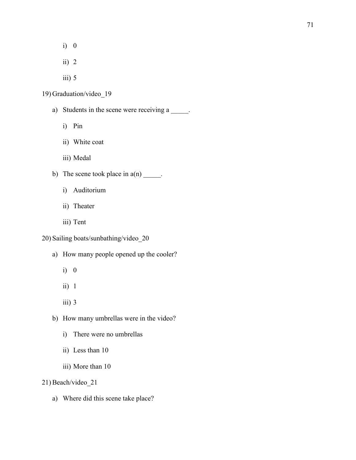- i) 0
- ii)  $2$
- $iii) 5$
- 19) Graduation/video\_19
	- a) Students in the scene were receiving a \_\_\_\_\_.
		- i) Pin
		- ii) White coat
		- iii) Medal
	- b) The scene took place in  $a(n)$  \_\_\_\_\_.
		- i) Auditorium
		- ii) Theater
		- iii) Tent
- 20) Sailing boats/sunbathing/video\_20
	- a) How many people opened up the cooler?
		- i) 0
		- ii) 1
		- iii)  $3$
	- b) How many umbrellas were in the video?
		- i) There were no umbrellas
		- ii) Less than 10
		- iii) More than 10
- 21) Beach/video\_21
	- a) Where did this scene take place?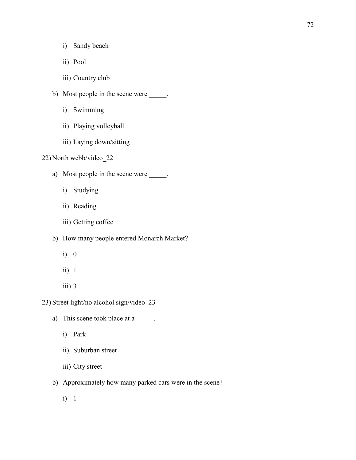- i) Sandy beach
- ii) Pool
- iii) Country club
- b) Most people in the scene were \_\_\_\_\_.
	- i) Swimming
	- ii) Playing volleyball
	- iii) Laying down/sitting

# 22) North webb/video\_22

- a) Most people in the scene were \_\_\_\_\_.
	- i) Studying
	- ii) Reading
	- iii) Getting coffee
- b) How many people entered Monarch Market?
	- i) 0
	- ii) 1
	- $iii)$  3

23) Street light/no alcohol sign/video\_23

- a) This scene took place at a \_\_\_\_\_.
	- i) Park
	- ii) Suburban street
	- iii) City street
- b) Approximately how many parked cars were in the scene?
	- i) 1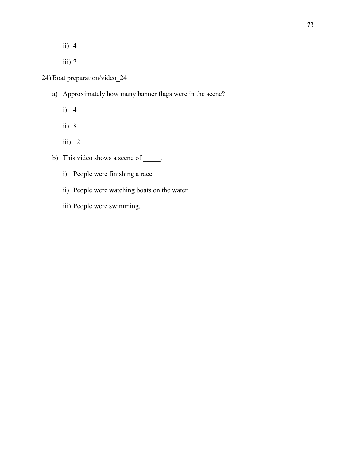- ii) 4
- iii) 7

# 24) Boat preparation/video\_24

- a) Approximately how many banner flags were in the scene?
	- i) 4
	- ii) 8
	- iii) 12
- b) This video shows a scene of \_\_\_\_\_.
	- i) People were finishing a race.
	- ii) People were watching boats on the water.
	- iii) People were swimming.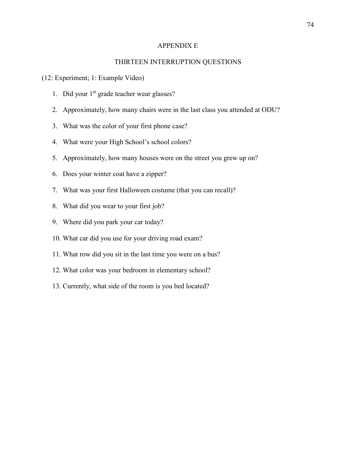#### APPENDIX E

### THIRTEEN INTERRUPTION QUESTIONS

#### (12: Experiment; 1: Example Video)

- 1. Did your  $1<sup>st</sup>$  grade teacher wear glasses?
- 2. Approximately, how many chairs were in the last class you attended at ODU?
- 3. What was the color of your first phone case?
- 4. What were your High School's school colors?
- 5. Approximately, how many houses were on the street you grew up on?
- 6. Does your winter coat have a zipper?
- 7. What was your first Halloween costume (that you can recall)?
- 8. What did you wear to your first job?
- 9. Where did you park your car today?
- 10. What car did you use for your driving road exam?
- 11. What row did you sit in the last time you were on a bus?
- 12. What color was your bedroom in elementary school?
- 13. Currently, what side of the room is you bed located?